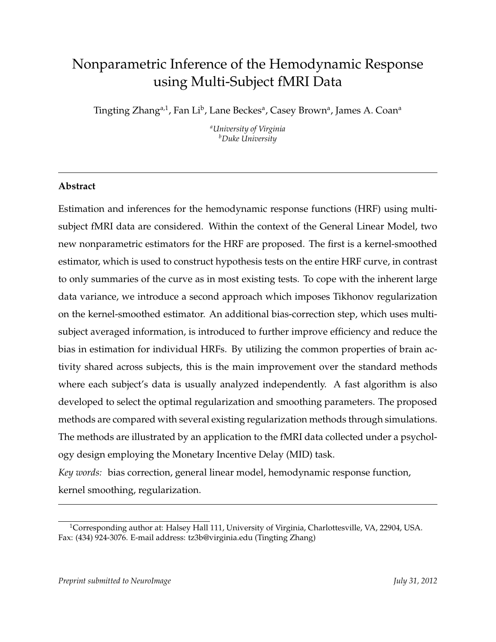# Nonparametric Inference of the Hemodynamic Response using Multi-Subject fMRI Data

Tingting Zhang<sup>a,1</sup>, Fan Li<sup>b</sup>, Lane Beckes<sup>a</sup>, Casey Brown<sup>a</sup>, James A. Coan<sup>a</sup>

*<sup>a</sup>University of Virginia <sup>b</sup>Duke University*

## **Abstract**

Estimation and inferences for the hemodynamic response functions (HRF) using multisubject fMRI data are considered. Within the context of the General Linear Model, two new nonparametric estimators for the HRF are proposed. The first is a kernel-smoothed estimator, which is used to construct hypothesis tests on the entire HRF curve, in contrast to only summaries of the curve as in most existing tests. To cope with the inherent large data variance, we introduce a second approach which imposes Tikhonov regularization on the kernel-smoothed estimator. An additional bias-correction step, which uses multisubject averaged information, is introduced to further improve efficiency and reduce the bias in estimation for individual HRFs. By utilizing the common properties of brain activity shared across subjects, this is the main improvement over the standard methods where each subject's data is usually analyzed independently. A fast algorithm is also developed to select the optimal regularization and smoothing parameters. The proposed methods are compared with several existing regularization methods through simulations. The methods are illustrated by an application to the fMRI data collected under a psychology design employing the Monetary Incentive Delay (MID) task.

*Key words:* bias correction, general linear model, hemodynamic response function, kernel smoothing, regularization.

<sup>&</sup>lt;sup>1</sup>Corresponding author at: Halsey Hall 111, University of Virginia, Charlottesville, VA, 22904, USA. Fax: (434) 924-3076. E-mail address: tz3b@virginia.edu (Tingting Zhang)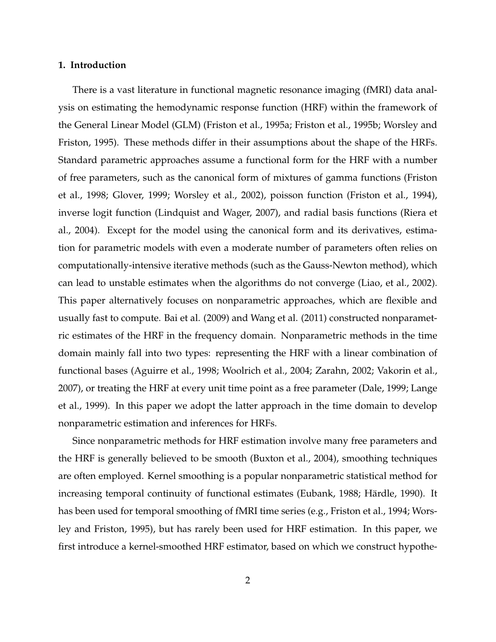#### **1. Introduction**

There is a vast literature in functional magnetic resonance imaging (fMRI) data analysis on estimating the hemodynamic response function (HRF) within the framework of the General Linear Model (GLM) (Friston et al., 1995a; Friston et al., 1995b; Worsley and Friston, 1995). These methods differ in their assumptions about the shape of the HRFs. Standard parametric approaches assume a functional form for the HRF with a number of free parameters, such as the canonical form of mixtures of gamma functions (Friston et al., 1998; Glover, 1999; Worsley et al., 2002), poisson function (Friston et al., 1994), inverse logit function (Lindquist and Wager, 2007), and radial basis functions (Riera et al., 2004). Except for the model using the canonical form and its derivatives, estimation for parametric models with even a moderate number of parameters often relies on computationally-intensive iterative methods (such as the Gauss-Newton method), which can lead to unstable estimates when the algorithms do not converge (Liao, et al., 2002). This paper alternatively focuses on nonparametric approaches, which are flexible and usually fast to compute. Bai et al. (2009) and Wang et al. (2011) constructed nonparametric estimates of the HRF in the frequency domain. Nonparametric methods in the time domain mainly fall into two types: representing the HRF with a linear combination of functional bases (Aguirre et al., 1998; Woolrich et al., 2004; Zarahn, 2002; Vakorin et al., 2007), or treating the HRF at every unit time point as a free parameter (Dale, 1999; Lange et al., 1999). In this paper we adopt the latter approach in the time domain to develop nonparametric estimation and inferences for HRFs.

Since nonparametric methods for HRF estimation involve many free parameters and the HRF is generally believed to be smooth (Buxton et al., 2004), smoothing techniques are often employed. Kernel smoothing is a popular nonparametric statistical method for increasing temporal continuity of functional estimates (Eubank, 1988; Härdle, 1990). It has been used for temporal smoothing of fMRI time series (e.g., Friston et al., 1994; Worsley and Friston, 1995), but has rarely been used for HRF estimation. In this paper, we first introduce a kernel-smoothed HRF estimator, based on which we construct hypothe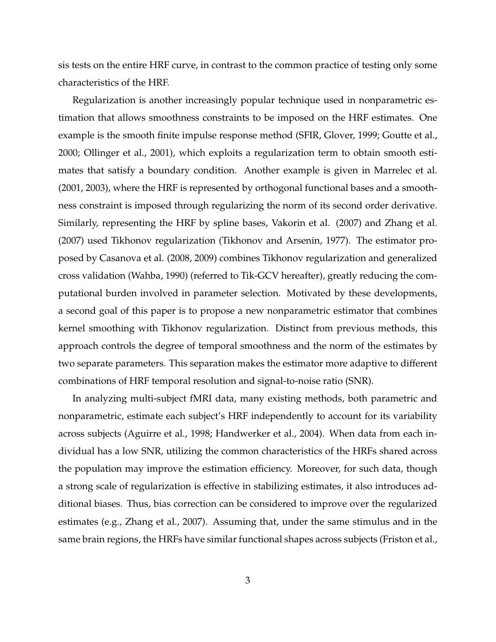sis tests on the entire HRF curve, in contrast to the common practice of testing only some characteristics of the HRF.

Regularization is another increasingly popular technique used in nonparametric estimation that allows smoothness constraints to be imposed on the HRF estimates. One example is the smooth finite impulse response method (SFIR, Glover, 1999; Goutte et al., 2000; Ollinger et al., 2001), which exploits a regularization term to obtain smooth estimates that satisfy a boundary condition. Another example is given in Marrelec et al. (2001, 2003), where the HRF is represented by orthogonal functional bases and a smoothness constraint is imposed through regularizing the norm of its second order derivative. Similarly, representing the HRF by spline bases, Vakorin et al. (2007) and Zhang et al. (2007) used Tikhonov regularization (Tikhonov and Arsenin, 1977). The estimator proposed by Casanova et al. (2008, 2009) combines Tikhonov regularization and generalized cross validation (Wahba, 1990) (referred to Tik-GCV hereafter), greatly reducing the computational burden involved in parameter selection. Motivated by these developments, a second goal of this paper is to propose a new nonparametric estimator that combines kernel smoothing with Tikhonov regularization. Distinct from previous methods, this approach controls the degree of temporal smoothness and the norm of the estimates by two separate parameters. This separation makes the estimator more adaptive to different combinations of HRF temporal resolution and signal-to-noise ratio (SNR).

In analyzing multi-subject fMRI data, many existing methods, both parametric and nonparametric, estimate each subject's HRF independently to account for its variability across subjects (Aguirre et al., 1998; Handwerker et al., 2004). When data from each individual has a low SNR, utilizing the common characteristics of the HRFs shared across the population may improve the estimation efficiency. Moreover, for such data, though a strong scale of regularization is effective in stabilizing estimates, it also introduces additional biases. Thus, bias correction can be considered to improve over the regularized estimates (e.g., Zhang et al., 2007). Assuming that, under the same stimulus and in the same brain regions, the HRFs have similar functional shapes across subjects (Friston et al.,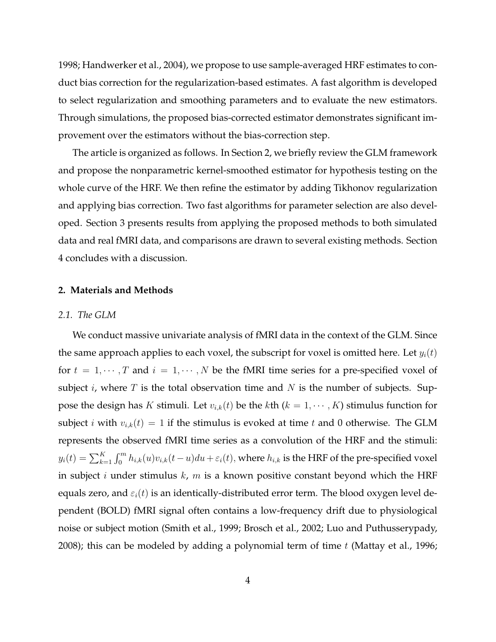1998; Handwerker et al., 2004), we propose to use sample-averaged HRF estimates to conduct bias correction for the regularization-based estimates. A fast algorithm is developed to select regularization and smoothing parameters and to evaluate the new estimators. Through simulations, the proposed bias-corrected estimator demonstrates significant improvement over the estimators without the bias-correction step.

The article is organized as follows. In Section 2, we briefly review the GLM framework and propose the nonparametric kernel-smoothed estimator for hypothesis testing on the whole curve of the HRF. We then refine the estimator by adding Tikhonov regularization and applying bias correction. Two fast algorithms for parameter selection are also developed. Section 3 presents results from applying the proposed methods to both simulated data and real fMRI data, and comparisons are drawn to several existing methods. Section 4 concludes with a discussion.

## **2. Materials and Methods**

#### *2.1. The GLM*

We conduct massive univariate analysis of fMRI data in the context of the GLM. Since the same approach applies to each voxel, the subscript for voxel is omitted here. Let  $y_i(t)$ for  $t = 1, \dots, T$  and  $i = 1, \dots, N$  be the fMRI time series for a pre-specified voxel of subject i, where T is the total observation time and N is the number of subjects. Suppose the design has K stimuli. Let  $v_{i,k}(t)$  be the kth  $(k = 1, \dots, K)$  stimulus function for subject *i* with  $v_{i,k}(t) = 1$  if the stimulus is evoked at time *t* and 0 otherwise. The GLM represents the observed fMRI time series as a convolution of the HRF and the stimuli:  $y_i(t)=\sum_{k=1}^K\int_0^m h_{i,k}(u)v_{i,k}(t-u)du+\varepsilon_i(t),$  where  $h_{i,k}$  is the HRF of the pre-specified voxel in subject *i* under stimulus  $k$ ,  $m$  is a known positive constant beyond which the HRF equals zero, and  $\varepsilon_i(t)$  is an identically-distributed error term. The blood oxygen level dependent (BOLD) fMRI signal often contains a low-frequency drift due to physiological noise or subject motion (Smith et al., 1999; Brosch et al., 2002; Luo and Puthusserypady, 2008); this can be modeled by adding a polynomial term of time  $t$  (Mattay et al., 1996;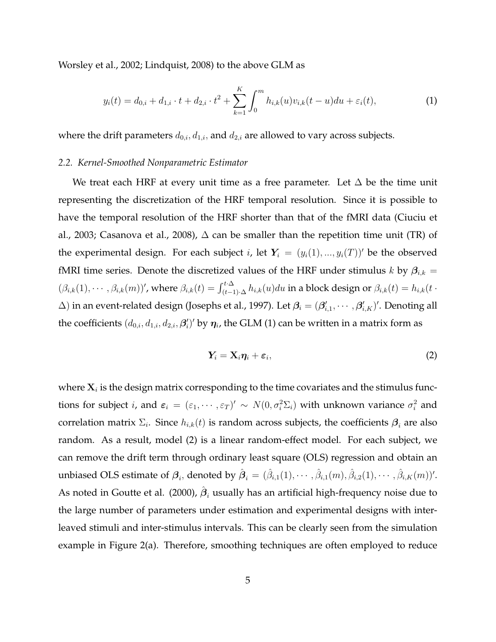Worsley et al., 2002; Lindquist, 2008) to the above GLM as

$$
y_i(t) = d_{0,i} + d_{1,i} \cdot t + d_{2,i} \cdot t^2 + \sum_{k=1}^K \int_0^m h_{i,k}(u)v_{i,k}(t-u)du + \varepsilon_i(t), \tag{1}
$$

where the drift parameters  $d_{0,i}$ ,  $d_{1,i}$ , and  $d_{2,i}$  are allowed to vary across subjects.

## *2.2. Kernel-Smoothed Nonparametric Estimator*

We treat each HRF at every unit time as a free parameter. Let  $\Delta$  be the time unit representing the discretization of the HRF temporal resolution. Since it is possible to have the temporal resolution of the HRF shorter than that of the fMRI data (Ciuciu et al., 2003; Casanova et al., 2008),  $\Delta$  can be smaller than the repetition time unit (TR) of the experimental design. For each subject i, let  $Y_i = (y_i(1), ..., y_i(T))'$  be the observed fMRI time series. Denote the discretized values of the HRF under stimulus k by  $\beta_{i,k}$  =  $(\beta_{i,k}(1),\cdots,\beta_{i,k}(m))'$ , where  $\beta_{i,k}(t) = \int_{(t-1)\cdot\Delta}^{t\cdot\Delta} h_{i,k}(u)du$  in a block design or  $\beta_{i,k}(t) = h_{i,k}(t\cdot\Delta)$  $(\Delta)$  in an event-related design (Josephs et al., 1997). Let  $\bm{\beta}_i=(\bm{\beta}'_{i,1},\cdots,\bm{\beta}'_{i,K})'$ . Denoting all the coefficients  $(d_{0,i}, d_{1,i}, d_{2,i}, \bm{\beta}'_i)'$  by  $\bm{\eta}_i$ , the GLM (1) can be written in a matrix form as

$$
Y_i = X_i \eta_i + \varepsilon_i, \tag{2}
$$

where  $\mathbf{X}_i$  is the design matrix corresponding to the time covariates and the stimulus functions for subject *i*, and  $\varepsilon_i = (\varepsilon_1, \dots, \varepsilon_T)' \sim N(0, \sigma_i^2 \Sigma_i)$  with unknown variance  $\sigma_i^2$  and correlation matrix  $\Sigma_i$ . Since  $h_{i,k}(t)$  is random across subjects, the coefficients  $\boldsymbol{\beta}_i$  are also random. As a result, model (2) is a linear random-effect model. For each subject, we can remove the drift term through ordinary least square (OLS) regression and obtain an unbiased OLS estimate of  $\boldsymbol{\beta}_i$ , denoted by  $\hat{\boldsymbol{\beta}}_i = (\hat{\beta}_{i,1}(1), \cdots, \hat{\beta}_{i,1}(m), \hat{\beta}_{i,2}(1), \cdots, \hat{\beta}_{i,K}(m))'.$ As noted in Goutte et al. (2000),  $\hat{\boldsymbol{\beta}}_i$  usually has an artificial high-frequency noise due to the large number of parameters under estimation and experimental designs with interleaved stimuli and inter-stimulus intervals. This can be clearly seen from the simulation example in Figure 2(a). Therefore, smoothing techniques are often employed to reduce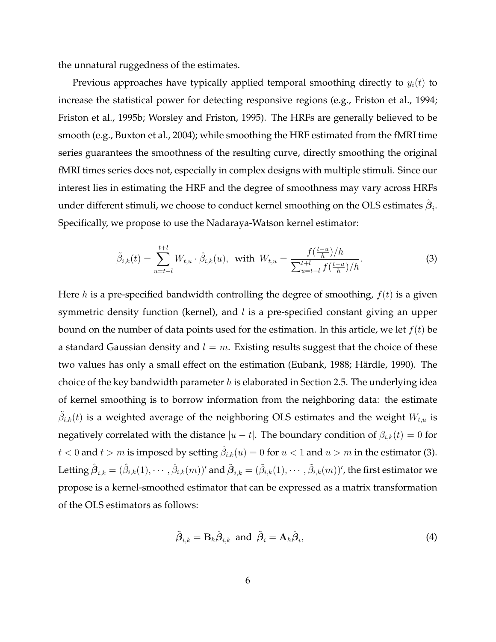the unnatural ruggedness of the estimates.

Previous approaches have typically applied temporal smoothing directly to  $y_i(t)$  to increase the statistical power for detecting responsive regions (e.g., Friston et al., 1994; Friston et al., 1995b; Worsley and Friston, 1995). The HRFs are generally believed to be smooth (e.g., Buxton et al., 2004); while smoothing the HRF estimated from the fMRI time series guarantees the smoothness of the resulting curve, directly smoothing the original fMRI times series does not, especially in complex designs with multiple stimuli. Since our interest lies in estimating the HRF and the degree of smoothness may vary across HRFs under different stimuli, we choose to conduct kernel smoothing on the OLS estimates  $\hat{\boldsymbol{\beta}}_i.$ Specifically, we propose to use the Nadaraya-Watson kernel estimator:

$$
\tilde{\beta}_{i,k}(t) = \sum_{u=t-l}^{t+l} W_{t,u} \cdot \hat{\beta}_{i,k}(u), \text{ with } W_{t,u} = \frac{f(\frac{t-u}{h})/h}{\sum_{u=t-l}^{t+l} f(\frac{t-u}{h})/h}.
$$
\n(3)

Here h is a pre-specified bandwidth controlling the degree of smoothing,  $f(t)$  is a given symmetric density function (kernel), and  $l$  is a pre-specified constant giving an upper bound on the number of data points used for the estimation. In this article, we let  $f(t)$  be a standard Gaussian density and  $l = m$ . Existing results suggest that the choice of these two values has only a small effect on the estimation (Eubank, 1988; Härdle, 1990). The choice of the key bandwidth parameter  $h$  is elaborated in Section 2.5. The underlying idea of kernel smoothing is to borrow information from the neighboring data: the estimate  $\tilde{\beta}_{i,k}(t)$  is a weighted average of the neighboring OLS estimates and the weight  $W_{t,u}$  is negatively correlated with the distance  $|u - t|$ . The boundary condition of  $\beta_{i,k}(t) = 0$  for  $t < 0$  and  $t > m$  is imposed by setting  $\hat{\beta}_{i,k}(u) = 0$  for  $u < 1$  and  $u > m$  in the estimator (3). Letting  $\hat{\bm{\beta}}_{i,k}=(\hat{\beta}_{i,k}(1),\cdots,\hat{\beta}_{i,k}(m))'$  and  $\tilde{\bm{\beta}}_{i,k}=(\tilde{\beta}_{i,k}(1),\cdots,\tilde{\beta}_{i,k}(m))'$ , the first estimator we propose is a kernel-smoothed estimator that can be expressed as a matrix transformation of the OLS estimators as follows:

$$
\tilde{\boldsymbol{\beta}}_{i,k} = \mathbf{B}_h \hat{\boldsymbol{\beta}}_{i,k} \text{ and } \tilde{\boldsymbol{\beta}}_i = \mathbf{A}_h \hat{\boldsymbol{\beta}}_i,\tag{4}
$$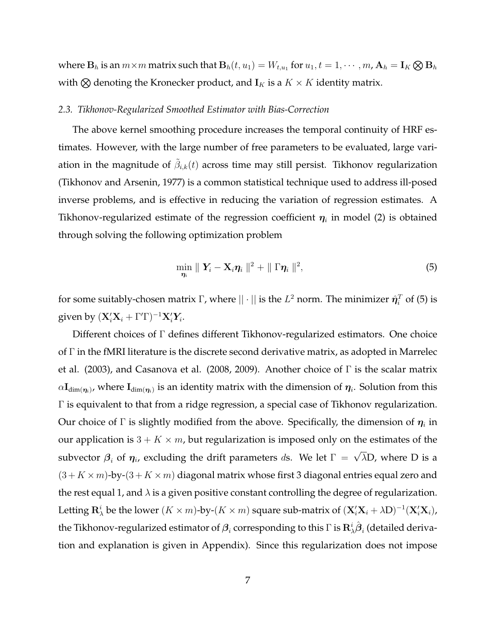where  ${\bf B}_h$  is an  $m\times m$  matrix such that  ${\bf B}_h(t,u_1)=W_{t,u_1}$  for  $u_1,t=1,\cdots,m$  ,  ${\bf A}_h={\bf I}_K\bigotimes {\bf B}_h$ with  $\otimes$  denoting the Kronecker product, and  $\mathbf{I}_K$  is a  $K \times K$  identity matrix.

#### *2.3. Tikhonov-Regularized Smoothed Estimator with Bias-Correction*

The above kernel smoothing procedure increases the temporal continuity of HRF estimates. However, with the large number of free parameters to be evaluated, large variation in the magnitude of  $\tilde{\beta}_{i,k}(t)$  across time may still persist. Tikhonov regularization (Tikhonov and Arsenin, 1977) is a common statistical technique used to address ill-posed inverse problems, and is effective in reducing the variation of regression estimates. A Tikhonov-regularized estimate of the regression coefficient  $\eta_i$  in model (2) is obtained through solving the following optimization problem

$$
\min_{\eta_i} \parallel \mathbf{Y}_i - \mathbf{X}_i \eta_i \parallel^2 + \parallel \Gamma \eta_i \parallel^2, \tag{5}
$$

for some suitably-chosen matrix  $\Gamma$ , where  $||\cdot||$  is the  $L^2$  norm. The minimizer  $\hat{\bm{\eta}}_i^T$  of (5) is given by  $(\mathbf{X}_i'\mathbf{X}_i + \Gamma'\Gamma)^{-1}\mathbf{X}_i'\mathbf{Y}_i$ .

Different choices of Γ defines different Tikhonov-regularized estimators. One choice of Γ in the fMRI literature is the discrete second derivative matrix, as adopted in Marrelec et al. (2003), and Casanova et al. (2008, 2009). Another choice of Γ is the scalar matrix  $\alpha {\bf I}_{\dim(\bm \eta_i)}$ , where  ${\bf I}_{\dim(\bm \eta_i)}$  is an identity matrix with the dimension of  $\bm \eta_i.$  Solution from this Γ is equivalent to that from a ridge regression, a special case of Tikhonov regularization. Our choice of  $\Gamma$  is slightly modified from the above. Specifically, the dimension of  $\boldsymbol{\eta}_i$  in our application is  $3 + K \times m$ , but regularization is imposed only on the estimates of the subvector  $\beta_i$  of  $\eta_i$ , excluding the drift parameters ds. We let  $\Gamma = \sqrt{\lambda}D$ , where D is a  $(3 + K \times m)$ -by- $(3 + K \times m)$  diagonal matrix whose first 3 diagonal entries equal zero and the rest equal 1, and  $\lambda$  is a given positive constant controlling the degree of regularization. Letting  ${\bf R}^i_\lambda$  be the lower  $(K\times m)$ -by- $(K\times m)$  square sub-matrix of  $({\bf X}'_i{\bf X}_i+\lambda {\bf D})^{-1}({\bf X}'_i{\bf X}_i)$ , the Tikhonov-regularized estimator of  $\bm{\beta}_i$  corresponding to this  $\Gamma$  is  $\mathbf{R}^i_\lambda\hat{\bm{\beta}}_i$  (detailed derivation and explanation is given in Appendix). Since this regularization does not impose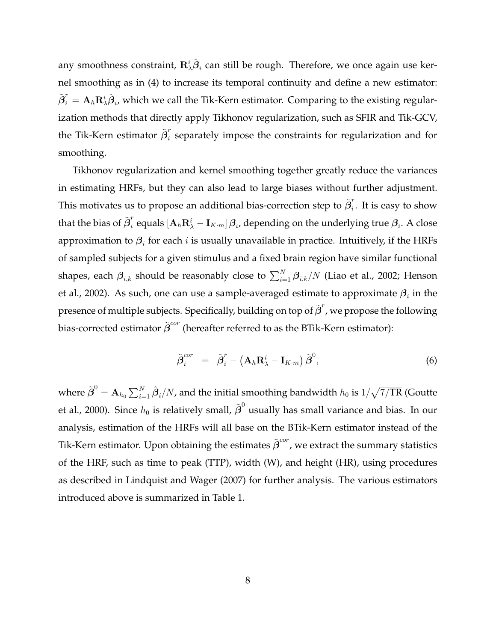any smoothness constraint,  ${\bf R}^i_\lambda \hat{\boldsymbol \beta}_i$  can still be rough. Therefore, we once again use kernel smoothing as in (4) to increase its temporal continuity and define a new estimator:  $\tilde{\bm{\beta}}^r_i = \mathbf{A}_h \mathbf{R}^i_\lambda \hat{\bm{\beta}}_i$ , which we call the Tik-Kern estimator. Comparing to the existing regularization methods that directly apply Tikhonov regularization, such as SFIR and Tik-GCV, the Tik-Kern estimator  $\tilde{\boldsymbol{\beta}}_{i}^{r}$  $\overline{i}_i$  separately impose the constraints for regularization and for smoothing.

Tikhonov regularization and kernel smoothing together greatly reduce the variances in estimating HRFs, but they can also lead to large biases without further adjustment. This motivates us to propose an additional bias-correction step to  $\tilde{\boldsymbol{\beta}}_{i}^{r}$  $i$ . It is easy to show that the bias of  $\tilde{\bm{\beta}}_{i}^{r}$  $\int_i^r$  equals  $[{\bf A}_h{\bf R}_\lambda^i - {\bf I}_{K\cdot m}]\,{\boldsymbol{\beta}}_i$ , depending on the underlying true  ${\boldsymbol{\beta}}_i.$  A close approximation to  $\boldsymbol{\beta}_i$  for each  $i$  is usually unavailable in practice. Intuitively, if the HRFs of sampled subjects for a given stimulus and a fixed brain region have similar functional shapes, each  $\bm{\beta}_{i,k}$  should be reasonably close to  $\sum_{i=1}^N\bm{\beta}_{i,k}/N$  (Liao et al., 2002; Henson et al., 2002). As such, one can use a sample-averaged estimate to approximate  $\boldsymbol{\beta}_i$  in the presence of multiple subjects. Specifically, building on top of  $\tilde{\bm{\beta}}^r$ , we propose the following bias-corrected estimator  $\tilde{\bm{\beta}}^{cor}$  (hereafter referred to as the BTik-Kern estimator):

$$
\tilde{\boldsymbol{\beta}}_i^{cor} = \tilde{\boldsymbol{\beta}}_i^r - \left(\mathbf{A}_h \mathbf{R}_{\lambda}^i - \mathbf{I}_{K \cdot m}\right) \tilde{\boldsymbol{\beta}}^0, \tag{6}
$$

where  $\tilde{\bm{\beta}}^0 = \mathbf{A}_{h_0}\sum_{i=1}^N\hat{\bm{\beta}}_i/N$ , and the initial smoothing bandwidth  $h_0$  is  $1/\sqrt{7/\text{TR}}$  (Goutte et al., 2000). Since  $h_0$  is relatively small,  $\tilde{{\boldsymbol \beta}}^0$  usually has small variance and bias. In our analysis, estimation of the HRFs will all base on the BTik-Kern estimator instead of the Tik-Kern estimator. Upon obtaining the estimates  $\tilde{\bm{\beta}}^{cor}$ , we extract the summary statistics of the HRF, such as time to peak (TTP), width (W), and height (HR), using procedures as described in Lindquist and Wager (2007) for further analysis. The various estimators introduced above is summarized in Table 1.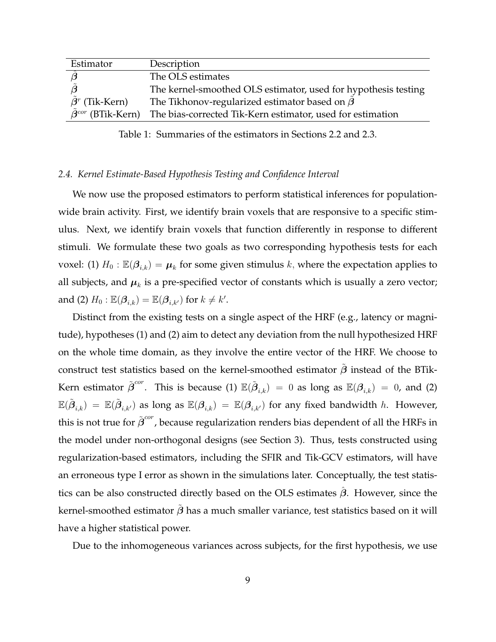| Estimator            | Description                                                            |
|----------------------|------------------------------------------------------------------------|
|                      | The OLS estimates                                                      |
|                      | The kernel-smoothed OLS estimator, used for hypothesis testing         |
| $\beta^r$ (Tik-Kern) | The Tikhonov-regularized estimator based on $\beta$                    |
| $A^{cor}$            | (BTik-Kern) The bias-corrected Tik-Kern estimator, used for estimation |

Table 1: Summaries of the estimators in Sections 2.2 and 2.3.

## *2.4. Kernel Estimate-Based Hypothesis Testing and Confidence Interval*

We now use the proposed estimators to perform statistical inferences for populationwide brain activity. First, we identify brain voxels that are responsive to a specific stimulus. Next, we identify brain voxels that function differently in response to different stimuli. We formulate these two goals as two corresponding hypothesis tests for each voxel: (1)  $H_0$  :  $\mathbb{E}(\beta_{i,k}) = \mu_k$  for some given stimulus  $k$ , where the expectation applies to all subjects, and  $\boldsymbol{\mu}_k$  is a pre-specified vector of constants which is usually a zero vector; and (2)  $H_0$  :  $\mathbb{E}(\beta_{i,k}) = \mathbb{E}(\beta_{i,k'})$  for  $k \neq k'.$ 

Distinct from the existing tests on a single aspect of the HRF (e.g., latency or magnitude), hypotheses (1) and (2) aim to detect any deviation from the null hypothesized HRF on the whole time domain, as they involve the entire vector of the HRF. We choose to construct test statistics based on the kernel-smoothed estimator  $\tilde{\beta}$  instead of the BTik-Kern estimator  $\tilde{\bm{\beta}}^{cor}.$  This is because (1)  $\mathbb{E}(\tilde{\bm{\beta}}_{i,k})~=~0$  as long as  $\mathbb{E}(\bm{\beta}_{i,k})~=~0,$  and (2)  $\mathbb{E}(\tilde{\bm{\beta}}_{i,k})\ =\ \mathbb{E}(\tilde{\bm{\beta}}_{i,k'})$  as long as  $\mathbb{E}(\bm{\beta}_{i,k})\ =\ \mathbb{E}(\bm{\beta}_{i,k'})$  for any fixed bandwidth  $h$ . However, this is not true for  $\tilde{{\boldsymbol \beta}}^{cor}$ , because regularization renders bias dependent of all the HRFs in the model under non-orthogonal designs (see Section 3). Thus, tests constructed using regularization-based estimators, including the SFIR and Tik-GCV estimators, will have an erroneous type I error as shown in the simulations later. Conceptually, the test statistics can be also constructed directly based on the OLS estimates  $\beta$ . However, since the kernel-smoothed estimator  $\beta$  has a much smaller variance, test statistics based on it will have a higher statistical power.

Due to the inhomogeneous variances across subjects, for the first hypothesis, we use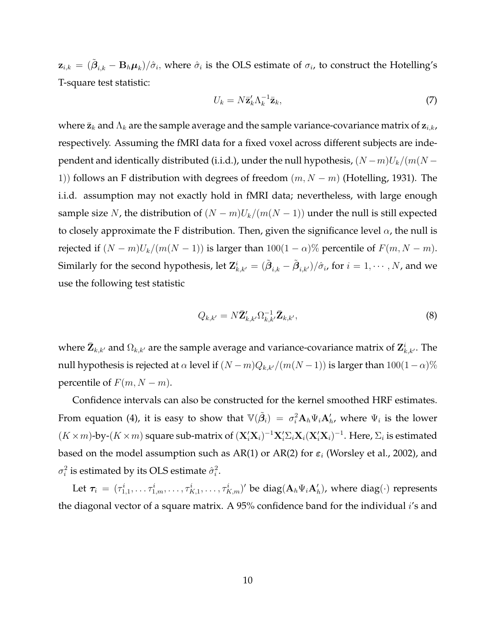$\mathbf{z}_{i,k}=(\tilde{\bm{\beta}}_{i,k}-\mathbf{B}_h\bm{\mu}_k)/\hat{\sigma}_i,$  where  $\hat{\sigma}_i$  is the OLS estimate of  $\sigma_i$ , to construct the Hotelling's T-square test statistic:

$$
U_k = N \bar{\mathbf{z}}_k' \Lambda_k^{-1} \bar{\mathbf{z}}_k,\tag{7}
$$

where  $\bar{z}_k$  and  $\Lambda_k$  are the sample average and the sample variance-covariance matrix of  $z_{i,k}$ , respectively. Assuming the fMRI data for a fixed voxel across different subjects are independent and identically distributed (i.i.d.), under the null hypothesis,  $(N-m)U_k/(m(N-m))$ 1)) follows an F distribution with degrees of freedom  $(m, N - m)$  (Hotelling, 1931). The i.i.d. assumption may not exactly hold in fMRI data; nevertheless, with large enough sample size N, the distribution of  $(N - m)U_k/(m(N - 1))$  under the null is still expected to closely approximate the F distribution. Then, given the significance level  $\alpha$ , the null is rejected if  $(N - m)U_k/(m(N - 1))$  is larger than 100(1 –  $\alpha$ )% percentile of  $F(m, N - m)$ . Similarly for the second hypothesis, let  ${\bf Z}_{k,k'}^i=(\tilde{\bm\beta}_{i,k}-\tilde{\bm\beta}_{i,k'})/\hat\sigma_i$ , for  $i=1,\cdots,N$ , and we use the following test statistic

$$
Q_{k,k'} = N\bar{\mathbf{Z}}'_{k,k'} \Omega_{k,k'}^{-1} \bar{\mathbf{Z}}_{k,k'},
$$
\n
$$
(8)
$$

where  $\bar{\bf Z}_{k,k'}$  and  $\Omega_{k,k'}$  are the sample average and variance-covariance matrix of  ${\bf Z}_{k,k'}^i$ . The null hypothesis is rejected at  $\alpha$  level if  $(N-m)Q_{k,k'}/(m(N-1))$  is larger than  $100(1-\alpha)\%$ percentile of  $F(m, N - m)$ .

Confidence intervals can also be constructed for the kernel smoothed HRF estimates. From equation (4), it is easy to show that  $\mathbb{V}(\tilde{\beta}_i) \ = \ \sigma_i^2 \mathbf{A}_h \Psi_i \mathbf{A}'_h$ , where  $\Psi_i$  is the lower  $(K \times m)$ -by- $(K \times m)$  square sub-matrix of  $(\mathbf{X}_i' \mathbf{X}_i)^{-1} \mathbf{X}_i' \Sigma_i \mathbf{X}_i (\mathbf{X}_i' \mathbf{X}_i)^{-1}$ . Here,  $\Sigma_i$  is estimated based on the model assumption such as AR(1) or AR(2) for  $\varepsilon_i$  (Worsley et al., 2002), and  $\sigma_i^2$  is estimated by its OLS estimate  $\hat{\sigma}_i^2$ .

Let  $\bm{\tau}_i$  =  $(\tau^i_{1,1}, \ldots \tau^i_{1,m}, \ldots, \tau^i_{K,1}, \ldots, \tau^i_{K,m})'$  be  $\text{diag}(\mathbf{A}_h \Psi_i \mathbf{A}'_h)$ , where  $\text{diag}(\cdot)$  represents the diagonal vector of a square matrix. A 95% confidence band for the individual  $i$ 's and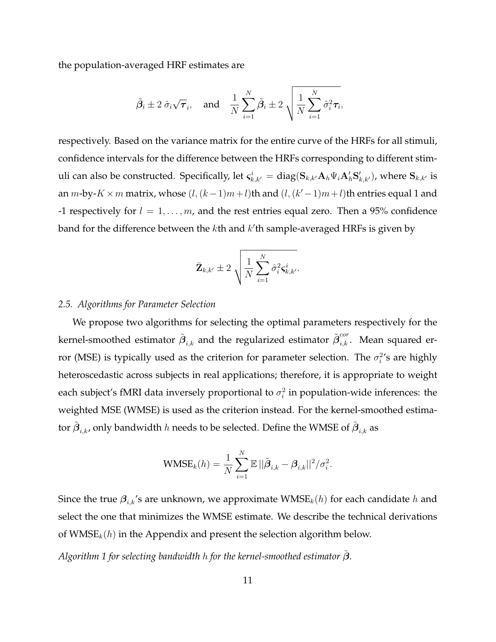the population-averaged HRF estimates are

$$
\tilde{\beta}_i \pm 2 \hat{\sigma}_i \sqrt{\tau}_i
$$
, and  $\frac{1}{N} \sum_{i=1}^N \tilde{\beta}_i \pm 2 \sqrt{\frac{1}{N} \sum_{i=1}^N \hat{\sigma}_i^2 \tau_i}$ ,

respectively. Based on the variance matrix for the entire curve of the HRFs for all stimuli, confidence intervals for the difference between the HRFs corresponding to different stimuli can also be constructed. Specifically, let  $\varsigma^i_{k,k'}=\text{diag}(\mathbf{S}_{k,k'}\mathbf{A}_h\Psi_i\mathbf{A}_h'\mathbf{S}_{k,k'}')$ , where  $\mathbf{S}_{k,k'}$  is an  $m$ -by- $K \times m$  matrix, whose  $(l, (k-1)m+l)$ th and  $(l, (k'-1)m+l)$ th entries equal 1 and -1 respectively for  $l = 1, ..., m$ , and the rest entries equal zero. Then a 95% confidence band for the difference between the  $k$ th and  $k'$ th sample-averaged HRFs is given by

$$
\bar{\mathbf{Z}}_{k,k'} \pm 2\sqrt{\frac{1}{N}\sum_{i=1}^N \hat{\sigma}_i^2 \boldsymbol{\varsigma}_{k,k'}^i}.
$$

## *2.5. Algorithms for Parameter Selection*

We propose two algorithms for selecting the optimal parameters respectively for the kernel-smoothed estimator  $\tilde{\bm{\beta}}_{i,k}$  and the regularized estimator  $\tilde{\bm{\beta}}^{cor}_{i,k}.$  Mean squared error (MSE) is typically used as the criterion for parameter selection. The  $\sigma_i^{2}$ 's are highly heteroscedastic across subjects in real applications; therefore, it is appropriate to weight each subject's fMRI data inversely proportional to  $\sigma_i^2$  in population-wide inferences: the weighted MSE (WMSE) is used as the criterion instead. For the kernel-smoothed estimator  $\tilde{\bm{\beta}}_{i,k}$ , only bandwidth  $h$  needs to be selected. Define the WMSE of  $\tilde{\bm{\beta}}_{i,k}$  as

WMSE<sub>k</sub>(h) = 
$$
\frac{1}{N} \sum_{i=1}^{N} \mathbb{E} ||\tilde{\beta}_{i,k} - \beta_{i,k}||^2 / \sigma_i^2
$$
.

Since the true  $\beta_{i,k}$ 's are unknown, we approximate  $\mathsf{WMSE}_k(h)$  for each candidate  $h$  and select the one that minimizes the WMSE estimate. We describe the technical derivations of  $\text{WMSE}_k(h)$  in the Appendix and present the selection algorithm below.

*Algorithm 1 for selecting bandwidth* h *for the kernel-smoothed estimator* β˜.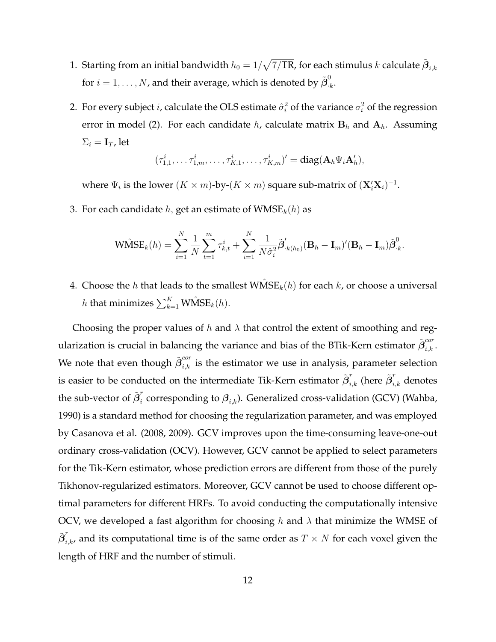- 1. Starting from an initial bandwidth  $h_0 = 1/\sqrt{7/TR}$ , for each stimulus  $k$  calculate  $\tilde{\boldsymbol{\beta}}_{i,k}$ for  $i=1,\ldots,N$ , and their average, which is denoted by  $\tilde{\boldsymbol{\beta}}^0_{\cdot,l}$  $\frac{6}{k}$ .
- 2. For every subject  $i$ , calculate the OLS estimate  $\hat{\sigma}_i^2$  of the variance  $\sigma_i^2$  of the regression error in model (2). For each candidate  $h$ , calculate matrix  $B_h$  and  $A_h$ . Assuming  $\Sigma_i = \mathbf{I}_T$ , let

$$
(\tau_{1,1}^i,\ldots,\tau_{1,m}^i,\ldots,\tau_{K,1}^i,\ldots,\tau_{K,m}^i)' = \text{diag}(\mathbf{A}_h\Psi_i\mathbf{A}_h'),
$$

where  $\Psi_i$  is the lower  $(K \times m)$ -by- $(K \times m)$  square sub-matrix of  $({\bf X}_i' {\bf X}_i)^{-1}$ .

3. For each candidate h, get an estimate of  $WMSE_{k}(h)$  as

$$
\widehat{\text{WMSE}}_k(h) = \sum_{i=1}^N \frac{1}{N} \sum_{t=1}^m \tau_{k,t}^i + \sum_{i=1}^N \frac{1}{N \hat{\sigma}_i^2} \tilde{\boldsymbol{\beta}}'_{\cdot k(h_0)} (\mathbf{B}_h - \mathbf{I}_m)' (\mathbf{B}_h - \mathbf{I}_m) \tilde{\boldsymbol{\beta}}_{\cdot k}^0.
$$

4. Choose the h that leads to the smallest  $\hat{\text{WMSE}}_k(h)$  for each  $k$ , or choose a universal  $h$  that minimizes  $\sum_{k=1}^K \widehat{\text{WMSE}}_k(h).$ 

Choosing the proper values of h and  $\lambda$  that control the extent of smoothing and regularization is crucial in balancing the variance and bias of the BTik-Kern estimator  $\tilde{\bm{\beta}}^{cor}_{i,k}.$ We note that even though  $\tilde{\beta}^{cor}_{i,k}$  is the estimator we use in analysis, parameter selection is easier to be conducted on the intermediate Tik-Kern estimator  $\tilde{\bm{\beta}}^r_{i,k}$  (here  $\tilde{\bm{\beta}}^r_{i,k}$  denotes the sub-vector of  $\tilde{\bm{\beta}}_i^r$  $\hat{a}_i$  corresponding to  $\boldsymbol{\beta}_{i,k}$ ). Generalized cross-validation (GCV) (Wahba, 1990) is a standard method for choosing the regularization parameter, and was employed by Casanova et al. (2008, 2009). GCV improves upon the time-consuming leave-one-out ordinary cross-validation (OCV). However, GCV cannot be applied to select parameters for the Tik-Kern estimator, whose prediction errors are different from those of the purely Tikhonov-regularized estimators. Moreover, GCV cannot be used to choose different optimal parameters for different HRFs. To avoid conducting the computationally intensive OCV, we developed a fast algorithm for choosing h and  $\lambda$  that minimize the WMSE of  $\tilde{\bm{\beta}}^{r}_{i,k}$ , and its computational time is of the same order as  $T\times N$  for each voxel given the length of HRF and the number of stimuli.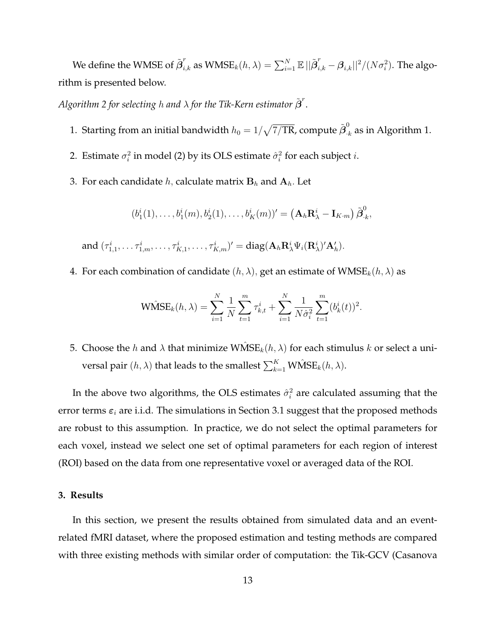We define the WMSE of  $\tilde{\bm{\beta}}^r_{i,k}$  as  $\text{WMSE}_k(h,\lambda) = \sum_{i=1}^N \mathbb{E} \, ||\tilde{\bm{\beta}}^r_{i,k} - \bm{\beta}_{i,k}||^2/(N\sigma_i^2).$  The algorithm is presented below.

Algorithm 2 for selecting h and  $\lambda$  for the Tik-Kern estimator  $\tilde{\bm{\beta}}^r.$ 

- 1. Starting from an initial bandwidth  $h_0 = 1/\sqrt{7/\text{TR}}$ , compute  $\tilde{\bm{\beta}}_{\cdot k}^0$  as in Algorithm 1.
- 2. Estimate  $\sigma_i^2$  in model (2) by its OLS estimate  $\hat{\sigma}_i^2$  for each subject  $i$ .
- 3. For each candidate  $h$ , calculate matrix  $\mathbf{B}_h$  and  $\mathbf{A}_h$ . Let

$$
(b_1^i(1),\ldots,b_1^i(m),b_2^i(1),\ldots,b_K^i(m))'=\big(\mathbf{A}_h\mathbf{R}_{\lambda}^i-\mathbf{I}_{K\cdot m}\big)\tilde{\boldsymbol{\beta}}_{\cdot k}^0,
$$

and  $(\tau^i_{1,1}, \ldots \tau^i_{1,m}, \ldots, \tau^i_{K,1}, \ldots, \tau^i_{K,m})' = \text{diag}(\mathbf{A}_h \mathbf{R}_{\lambda}^i \Psi_i(\mathbf{R}_{\lambda}^i)'\mathbf{A}_h').$ 

4. For each combination of candidate  $(h, \lambda)$ , get an estimate of  $WMSE_k(h, \lambda)$  as

$$
\widehat{\text{WMSE}}_k(h, \lambda) = \sum_{i=1}^N \frac{1}{N} \sum_{t=1}^m \tau_{k,t}^i + \sum_{i=1}^N \frac{1}{N \hat{\sigma}_i^2} \sum_{t=1}^m (b_k^i(t))^2.
$$

5. Choose the h and  $\lambda$  that minimize  $\mathsf{WMSE}_k(h, \lambda)$  for each stimulus k or select a universal pair  $(h, \lambda)$  that leads to the smallest  $\sum_{k=1}^K \mathsf{W}\hat{\mathsf{M}}\mathsf{SE}_k(h, \lambda).$ 

In the above two algorithms, the OLS estimates  $\hat{\sigma}_i^2$  are calculated assuming that the error terms  $\varepsilon_i$  are i.i.d. The simulations in Section 3.1 suggest that the proposed methods are robust to this assumption. In practice, we do not select the optimal parameters for each voxel, instead we select one set of optimal parameters for each region of interest (ROI) based on the data from one representative voxel or averaged data of the ROI.

#### **3. Results**

In this section, we present the results obtained from simulated data and an eventrelated fMRI dataset, where the proposed estimation and testing methods are compared with three existing methods with similar order of computation: the Tik-GCV (Casanova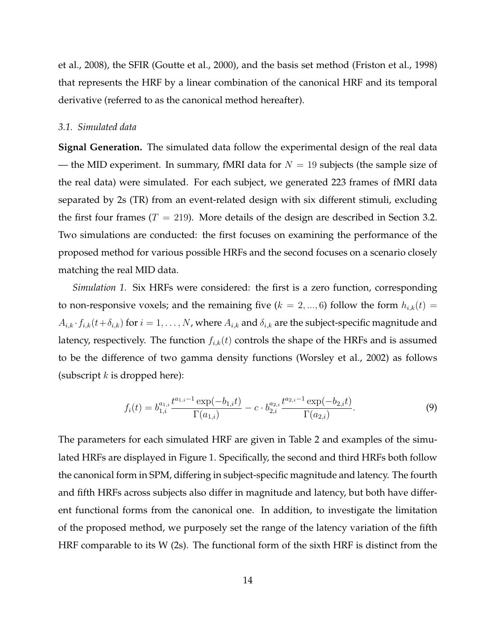et al., 2008), the SFIR (Goutte et al., 2000), and the basis set method (Friston et al., 1998) that represents the HRF by a linear combination of the canonical HRF and its temporal derivative (referred to as the canonical method hereafter).

#### *3.1. Simulated data*

**Signal Generation.** The simulated data follow the experimental design of the real data — the MID experiment. In summary, fMRI data for  $N = 19$  subjects (the sample size of the real data) were simulated. For each subject, we generated 223 frames of fMRI data separated by 2s (TR) from an event-related design with six different stimuli, excluding the first four frames ( $T = 219$ ). More details of the design are described in Section 3.2. Two simulations are conducted: the first focuses on examining the performance of the proposed method for various possible HRFs and the second focuses on a scenario closely matching the real MID data.

*Simulation 1.* Six HRFs were considered: the first is a zero function, corresponding to non-responsive voxels; and the remaining five ( $k = 2, ..., 6$ ) follow the form  $h_{i,k}(t) =$  $A_{i,k} \cdot f_{i,k}(t+\delta_{i,k})$  for  $i=1,\ldots,N$ , where  $A_{i,k}$  and  $\delta_{i,k}$  are the subject-specific magnitude and latency, respectively. The function  $f_{i,k}(t)$  controls the shape of the HRFs and is assumed to be the difference of two gamma density functions (Worsley et al., 2002) as follows (subscript  $k$  is dropped here):

$$
f_i(t) = b_{1,i}^{a_{1,i}} \frac{t^{a_{1,i}-1} \exp(-b_{1,i}t)}{\Gamma(a_{1,i})} - c \cdot b_{2,i}^{a_{2,i}} \frac{t^{a_{2,i}-1} \exp(-b_{2,i}t)}{\Gamma(a_{2,i})}.
$$
 (9)

The parameters for each simulated HRF are given in Table 2 and examples of the simulated HRFs are displayed in Figure 1. Specifically, the second and third HRFs both follow the canonical form in SPM, differing in subject-specific magnitude and latency. The fourth and fifth HRFs across subjects also differ in magnitude and latency, but both have different functional forms from the canonical one. In addition, to investigate the limitation of the proposed method, we purposely set the range of the latency variation of the fifth HRF comparable to its W (2s). The functional form of the sixth HRF is distinct from the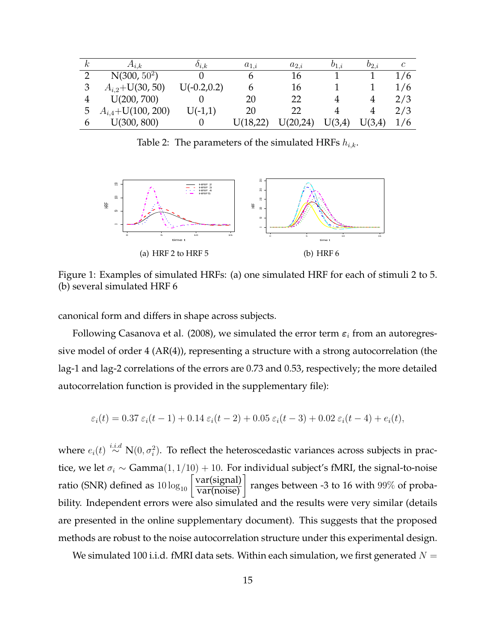| $\kappa$ | $A_{i,k}$               | $o_{i,k}$      | $a_{1,i}$ | $a_{2,i}$ | $v_{1,i}$ | $b_{2,i}$ | C   |
|----------|-------------------------|----------------|-----------|-----------|-----------|-----------|-----|
|          | $N(300, 50^2)$          |                |           | 16        |           |           | 1/6 |
| 3        | $A_{i,2}$ +U(30, 50)    | $U(-0.2, 0.2)$ | b         | 16        |           |           | 1/6 |
|          | U(200, 700)             |                | 20        | 22        |           |           | 2/3 |
| 5        | $A_{i,4} + U(100, 200)$ | $U(-1,1)$      | 20        | 22        |           |           | 2/3 |
| h        | U(300, 800)             |                | U(18,22)  | U(20,24)  | U(3,4)    | U(3,4)    | 1/6 |

Table 2: The parameters of the simulated HRFs  $h_{i,k}$ .



Figure 1: Examples of simulated HRFs: (a) one simulated HRF for each of stimuli 2 to 5. (b) several simulated HRF 6

canonical form and differs in shape across subjects.

Following Casanova et al. (2008), we simulated the error term  $\varepsilon_i$  from an autoregressive model of order 4 (AR(4)), representing a structure with a strong autocorrelation (the lag-1 and lag-2 correlations of the errors are 0.73 and 0.53, respectively; the more detailed autocorrelation function is provided in the supplementary file):

$$
\varepsilon_i(t) = 0.37 \, \varepsilon_i(t-1) + 0.14 \, \varepsilon_i(t-2) + 0.05 \, \varepsilon_i(t-3) + 0.02 \, \varepsilon_i(t-4) + e_i(t),
$$

where  $e_i(t) \stackrel{i.i.d}{\sim} \text{N}(0,\sigma_i^2)$ . To reflect the heteroscedastic variances across subjects in practice, we let  $\sigma_i \sim \text{Gamma}(1, 1/10) + 10$ . For individual subject's fMRI, the signal-to-noise ratio (SNR) defined as  $10\log_{10}\left[\frac{\text{var}(\text{signal})}{\text{var}(\text{noise})}\right]$  ranges between -3 to 16 with 99% of probability. Independent errors were also simulated and the results were very similar (details are presented in the online supplementary document). This suggests that the proposed methods are robust to the noise autocorrelation structure under this experimental design.

We simulated 100 i.i.d. fMRI data sets. Within each simulation, we first generated  $N =$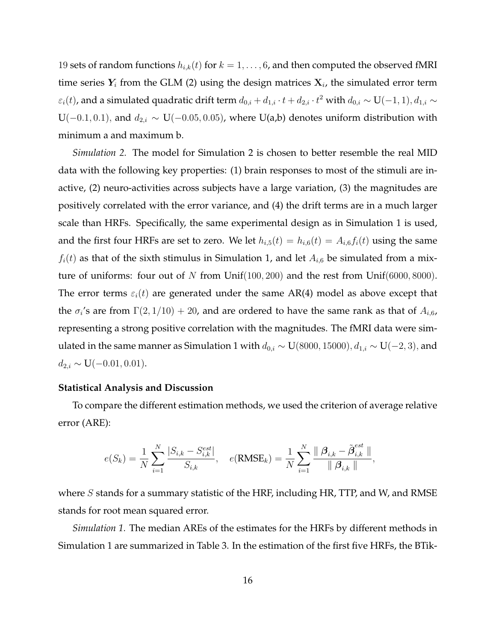19 sets of random functions  $h_{i,k}(t)$  for  $k = 1, \ldots, 6$ , and then computed the observed fMRI time series  $Y_i$  from the GLM (2) using the design matrices  $X_i$ , the simulated error term  $\varepsilon_i(t)$ , and a simulated quadratic drift term  $d_{0,i} + d_{1,i} \cdot t + d_{2,i} \cdot t^2$  with  $d_{0,i} \sim U(-1,1), d_{1,i} \sim$ U(−0.1, 0.1), and  $d_{2,i} \sim U(-0.05, 0.05)$ , where U(a,b) denotes uniform distribution with minimum a and maximum b.

*Simulation 2.* The model for Simulation 2 is chosen to better resemble the real MID data with the following key properties: (1) brain responses to most of the stimuli are inactive, (2) neuro-activities across subjects have a large variation, (3) the magnitudes are positively correlated with the error variance, and (4) the drift terms are in a much larger scale than HRFs. Specifically, the same experimental design as in Simulation 1 is used, and the first four HRFs are set to zero. We let  $h_{i,5}(t) = h_{i,6}(t) = A_{i,6}f_i(t)$  using the same  $f_i(t)$  as that of the sixth stimulus in Simulation 1, and let  $A_{i,6}$  be simulated from a mixture of uniforms: four out of N from  $Unif(100, 200)$  and the rest from  $Unif(6000, 8000)$ . The error terms  $\varepsilon_i(t)$  are generated under the same AR(4) model as above except that the  $\sigma_i$ 's are from  $\Gamma(2,1/10) + 20$ , and are ordered to have the same rank as that of  $A_{i,6}$ , representing a strong positive correlation with the magnitudes. The fMRI data were simulated in the same manner as Simulation 1 with  $d_{0,i}$  ~ U(8000, 15000),  $d_{1,i}$  ~ U(−2, 3), and  $d_{2,i} \sim U(-0.01, 0.01).$ 

## **Statistical Analysis and Discussion**

To compare the different estimation methods, we used the criterion of average relative error (ARE):

$$
e(S_k) = \frac{1}{N} \sum_{i=1}^{N} \frac{|S_{i,k} - S_{i,k}^{est}|}{S_{i,k}}, \quad e(\text{RMSE}_k) = \frac{1}{N} \sum_{i=1}^{N} \frac{\parallel \beta_{i,k} - \tilde{\beta}_{i,k}^{est} \parallel}{\parallel \beta_{i,k} \parallel},
$$

where  $S$  stands for a summary statistic of the HRF, including HR, TTP, and W, and RMSE stands for root mean squared error.

*Simulation 1.* The median AREs of the estimates for the HRFs by different methods in Simulation 1 are summarized in Table 3. In the estimation of the first five HRFs, the BTik-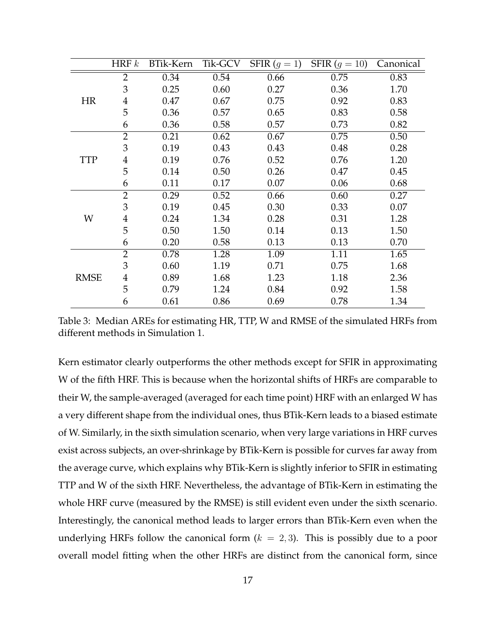|             | HRF $k$        | BTik-Kern | Tik-GCV | SFIR $(g = 1)$ | SFIR $(g = 10)$ | Canonical |
|-------------|----------------|-----------|---------|----------------|-----------------|-----------|
|             | $\overline{2}$ | 0.34      | 0.54    | 0.66           | 0.75            | 0.83      |
|             | 3              | 0.25      | 0.60    | 0.27           | 0.36            | 1.70      |
| <b>HR</b>   | $\overline{4}$ | 0.47      | 0.67    | 0.75           | 0.92            | 0.83      |
|             | 5              | 0.36      | 0.57    | 0.65           | 0.83            | 0.58      |
|             | 6              | 0.36      | 0.58    | 0.57           | 0.73            | 0.82      |
|             | $\overline{2}$ | 0.21      | 0.62    | 0.67           | 0.75            | 0.50      |
|             | 3              | 0.19      | 0.43    | 0.43           | 0.48            | 0.28      |
| <b>TTP</b>  | 4              | 0.19      | 0.76    | 0.52           | 0.76            | 1.20      |
|             | 5              | 0.14      | 0.50    | 0.26           | 0.47            | 0.45      |
|             | 6              | 0.11      | 0.17    | 0.07           | 0.06            | 0.68      |
|             | $\overline{2}$ | 0.29      | 0.52    | 0.66           | 0.60            | 0.27      |
|             | 3              | 0.19      | 0.45    | 0.30           | 0.33            | 0.07      |
| W           | $\overline{4}$ | 0.24      | 1.34    | 0.28           | 0.31            | 1.28      |
|             | 5              | 0.50      | 1.50    | 0.14           | 0.13            | 1.50      |
|             | 6              | 0.20      | 0.58    | 0.13           | 0.13            | 0.70      |
|             | $\overline{2}$ | 0.78      | 1.28    | 1.09           | 1.11            | 1.65      |
|             | 3              | 0.60      | 1.19    | 0.71           | 0.75            | 1.68      |
| <b>RMSE</b> | 4              | 0.89      | 1.68    | 1.23           | 1.18            | 2.36      |
|             | 5              | 0.79      | 1.24    | 0.84           | 0.92            | 1.58      |
|             | 6              | 0.61      | 0.86    | 0.69           | 0.78            | 1.34      |

Table 3: Median AREs for estimating HR, TTP, W and RMSE of the simulated HRFs from different methods in Simulation 1.

Kern estimator clearly outperforms the other methods except for SFIR in approximating W of the fifth HRF. This is because when the horizontal shifts of HRFs are comparable to their W, the sample-averaged (averaged for each time point) HRF with an enlarged W has a very different shape from the individual ones, thus BTik-Kern leads to a biased estimate of W. Similarly, in the sixth simulation scenario, when very large variations in HRF curves exist across subjects, an over-shrinkage by BTik-Kern is possible for curves far away from the average curve, which explains why BTik-Kern is slightly inferior to SFIR in estimating TTP and W of the sixth HRF. Nevertheless, the advantage of BTik-Kern in estimating the whole HRF curve (measured by the RMSE) is still evident even under the sixth scenario. Interestingly, the canonical method leads to larger errors than BTik-Kern even when the underlying HRFs follow the canonical form  $(k = 2, 3)$ . This is possibly due to a poor overall model fitting when the other HRFs are distinct from the canonical form, since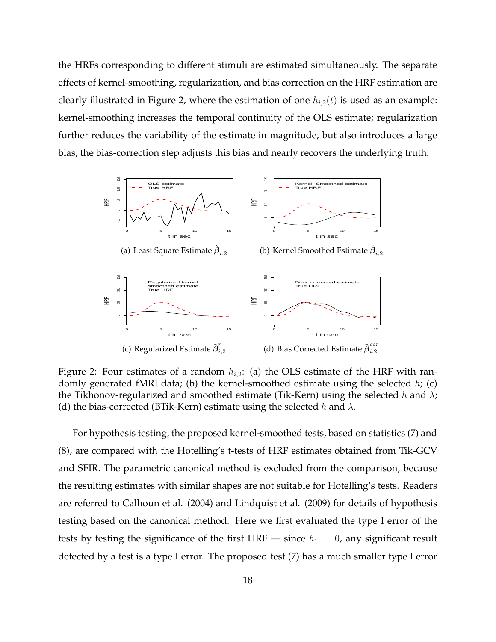the HRFs corresponding to different stimuli are estimated simultaneously. The separate effects of kernel-smoothing, regularization, and bias correction on the HRF estimation are clearly illustrated in Figure 2, where the estimation of one  $h_{i,2}(t)$  is used as an example: kernel-smoothing increases the temporal continuity of the OLS estimate; regularization further reduces the variability of the estimate in magnitude, but also introduces a large bias; the bias-correction step adjusts this bias and nearly recovers the underlying truth.



Figure 2: Four estimates of a random  $h_{i,2}$ : (a) the OLS estimate of the HRF with randomly generated fMRI data; (b) the kernel-smoothed estimate using the selected  $h$ ; (c) the Tikhonov-regularized and smoothed estimate (Tik-Kern) using the selected h and  $\lambda$ ; (d) the bias-corrected (BTik-Kern) estimate using the selected h and  $\lambda$ .

For hypothesis testing, the proposed kernel-smoothed tests, based on statistics (7) and (8), are compared with the Hotelling's t-tests of HRF estimates obtained from Tik-GCV and SFIR. The parametric canonical method is excluded from the comparison, because the resulting estimates with similar shapes are not suitable for Hotelling's tests. Readers are referred to Calhoun et al. (2004) and Lindquist et al. (2009) for details of hypothesis testing based on the canonical method. Here we first evaluated the type I error of the tests by testing the significance of the first HRF — since  $h_1 = 0$ , any significant result detected by a test is a type I error. The proposed test (7) has a much smaller type I error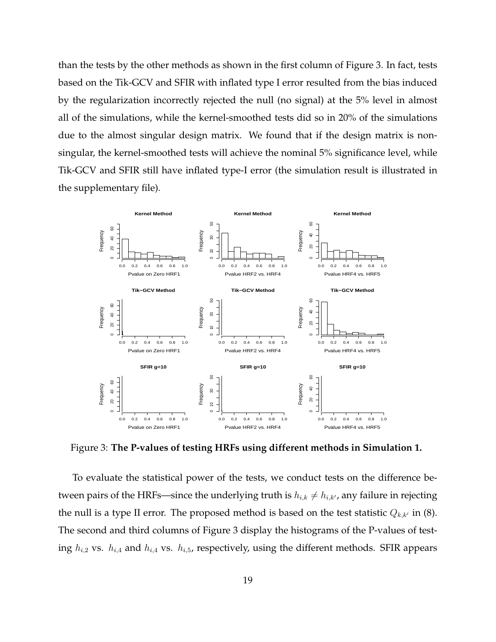than the tests by the other methods as shown in the first column of Figure 3. In fact, tests based on the Tik-GCV and SFIR with inflated type I error resulted from the bias induced by the regularization incorrectly rejected the null (no signal) at the 5% level in almost all of the simulations, while the kernel-smoothed tests did so in 20% of the simulations due to the almost singular design matrix. We found that if the design matrix is nonsingular, the kernel-smoothed tests will achieve the nominal 5% significance level, while Tik-GCV and SFIR still have inflated type-I error (the simulation result is illustrated in the supplementary file).



Figure 3: **The P-values of testing HRFs using different methods in Simulation 1.**

To evaluate the statistical power of the tests, we conduct tests on the difference between pairs of the HRFs—since the underlying truth is  $h_{i,k} \neq h_{i,k}$ , any failure in rejecting the null is a type II error. The proposed method is based on the test statistic  $Q_{k,k'}$  in (8). The second and third columns of Figure 3 display the histograms of the P-values of testing  $h_{i,2}$  vs.  $h_{i,4}$  and  $h_{i,4}$  vs.  $h_{i,5}$ , respectively, using the different methods. SFIR appears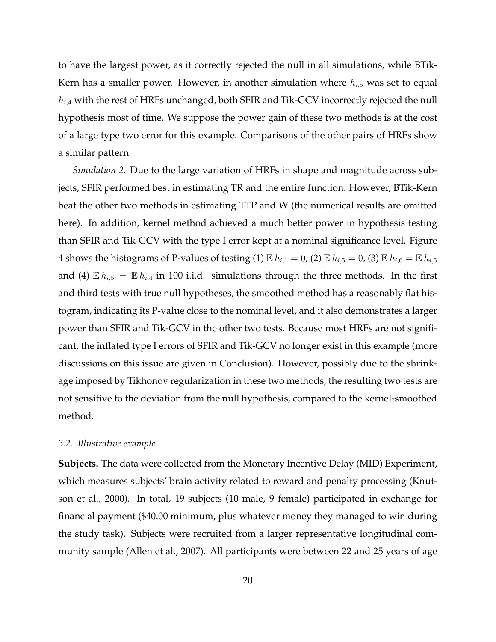to have the largest power, as it correctly rejected the null in all simulations, while BTik-Kern has a smaller power. However, in another simulation where  $h_{i,5}$  was set to equal  $h_{i,4}$  with the rest of HRFs unchanged, both SFIR and Tik-GCV incorrectly rejected the null hypothesis most of time. We suppose the power gain of these two methods is at the cost of a large type two error for this example. Comparisons of the other pairs of HRFs show a similar pattern.

*Simulation 2.* Due to the large variation of HRFs in shape and magnitude across subjects, SFIR performed best in estimating TR and the entire function. However, BTik-Kern beat the other two methods in estimating TTP and W (the numerical results are omitted here). In addition, kernel method achieved a much better power in hypothesis testing than SFIR and Tik-GCV with the type I error kept at a nominal significance level. Figure 4 shows the histograms of P-values of testing (1)  $\mathbb{E} h_{i,1} = 0$ , (2)  $\mathbb{E} h_{i,5} = 0$ , (3)  $\mathbb{E} h_{i,6} = \mathbb{E} h_{i,5}$ and (4)  $\mathbb{E} h_{i,5} = \mathbb{E} h_{i,4}$  in 100 i.i.d. simulations through the three methods. In the first and third tests with true null hypotheses, the smoothed method has a reasonably flat histogram, indicating its P-value close to the nominal level, and it also demonstrates a larger power than SFIR and Tik-GCV in the other two tests. Because most HRFs are not significant, the inflated type I errors of SFIR and Tik-GCV no longer exist in this example (more discussions on this issue are given in Conclusion). However, possibly due to the shrinkage imposed by Tikhonov regularization in these two methods, the resulting two tests are not sensitive to the deviation from the null hypothesis, compared to the kernel-smoothed method.

## *3.2. Illustrative example*

**Subjects.** The data were collected from the Monetary Incentive Delay (MID) Experiment, which measures subjects' brain activity related to reward and penalty processing (Knutson et al., 2000). In total, 19 subjects (10 male, 9 female) participated in exchange for financial payment (\$40.00 minimum, plus whatever money they managed to win during the study task). Subjects were recruited from a larger representative longitudinal community sample (Allen et al., 2007). All participants were between 22 and 25 years of age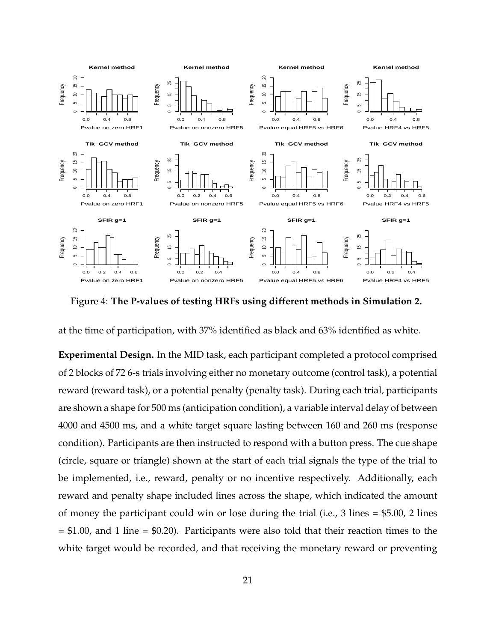

Figure 4: **The P-values of testing HRFs using different methods in Simulation 2.**

at the time of participation, with 37% identified as black and 63% identified as white.

**Experimental Design.** In the MID task, each participant completed a protocol comprised of 2 blocks of 72 6-s trials involving either no monetary outcome (control task), a potential reward (reward task), or a potential penalty (penalty task). During each trial, participants are shown a shape for 500 ms (anticipation condition), a variable interval delay of between 4000 and 4500 ms, and a white target square lasting between 160 and 260 ms (response condition). Participants are then instructed to respond with a button press. The cue shape (circle, square or triangle) shown at the start of each trial signals the type of the trial to be implemented, i.e., reward, penalty or no incentive respectively. Additionally, each reward and penalty shape included lines across the shape, which indicated the amount of money the participant could win or lose during the trial (i.e., 3 lines = \$5.00, 2 lines  $= $1.00$ , and 1 line  $= $0.20$ ). Participants were also told that their reaction times to the white target would be recorded, and that receiving the monetary reward or preventing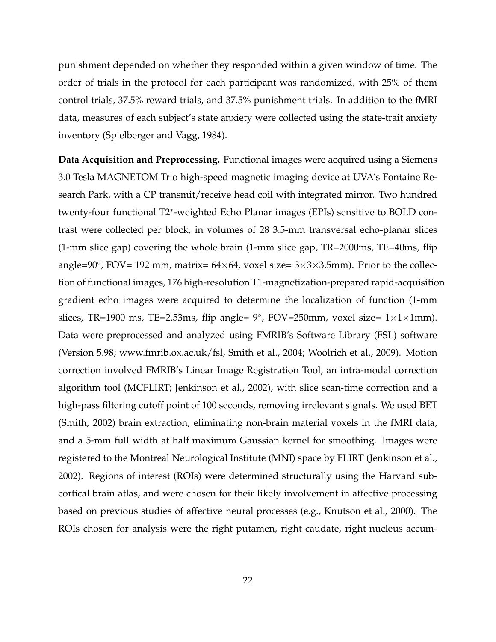punishment depended on whether they responded within a given window of time. The order of trials in the protocol for each participant was randomized, with 25% of them control trials, 37.5% reward trials, and 37.5% punishment trials. In addition to the fMRI data, measures of each subject's state anxiety were collected using the state-trait anxiety inventory (Spielberger and Vagg, 1984).

**Data Acquisition and Preprocessing.** Functional images were acquired using a Siemens 3.0 Tesla MAGNETOM Trio high-speed magnetic imaging device at UVA's Fontaine Research Park, with a CP transmit/receive head coil with integrated mirror. Two hundred twenty-four functional T2<sup>∗</sup> -weighted Echo Planar images (EPIs) sensitive to BOLD contrast were collected per block, in volumes of 28 3.5-mm transversal echo-planar slices (1-mm slice gap) covering the whole brain (1-mm slice gap, TR=2000ms, TE=40ms, flip angle=90°, FOV= 192 mm, matrix=  $64 \times 64$ , voxel size=  $3 \times 3 \times 3.5$ mm). Prior to the collection of functional images, 176 high-resolution T1-magnetization-prepared rapid-acquisition gradient echo images were acquired to determine the localization of function (1-mm slices, TR=1900 ms, TE=2.53ms, flip angle=  $9^{\circ}$ , FOV=250mm, voxel size=  $1 \times 1 \times 1$ mm). Data were preprocessed and analyzed using FMRIB's Software Library (FSL) software (Version 5.98; www.fmrib.ox.ac.uk/fsl, Smith et al., 2004; Woolrich et al., 2009). Motion correction involved FMRIB's Linear Image Registration Tool, an intra-modal correction algorithm tool (MCFLIRT; Jenkinson et al., 2002), with slice scan-time correction and a high-pass filtering cutoff point of 100 seconds, removing irrelevant signals. We used BET (Smith, 2002) brain extraction, eliminating non-brain material voxels in the fMRI data, and a 5-mm full width at half maximum Gaussian kernel for smoothing. Images were registered to the Montreal Neurological Institute (MNI) space by FLIRT (Jenkinson et al., 2002). Regions of interest (ROIs) were determined structurally using the Harvard subcortical brain atlas, and were chosen for their likely involvement in affective processing based on previous studies of affective neural processes (e.g., Knutson et al., 2000). The ROIs chosen for analysis were the right putamen, right caudate, right nucleus accum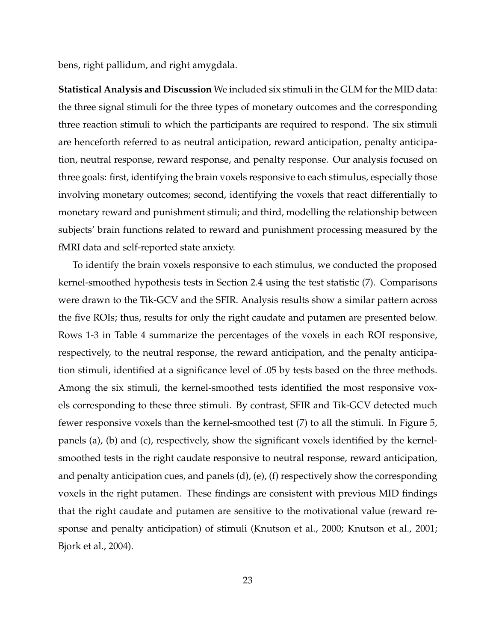bens, right pallidum, and right amygdala.

**Statistical Analysis and Discussion** We included six stimuli in the GLM for the MID data: the three signal stimuli for the three types of monetary outcomes and the corresponding three reaction stimuli to which the participants are required to respond. The six stimuli are henceforth referred to as neutral anticipation, reward anticipation, penalty anticipation, neutral response, reward response, and penalty response. Our analysis focused on three goals: first, identifying the brain voxels responsive to each stimulus, especially those involving monetary outcomes; second, identifying the voxels that react differentially to monetary reward and punishment stimuli; and third, modelling the relationship between subjects' brain functions related to reward and punishment processing measured by the fMRI data and self-reported state anxiety.

To identify the brain voxels responsive to each stimulus, we conducted the proposed kernel-smoothed hypothesis tests in Section 2.4 using the test statistic (7). Comparisons were drawn to the Tik-GCV and the SFIR. Analysis results show a similar pattern across the five ROIs; thus, results for only the right caudate and putamen are presented below. Rows 1-3 in Table 4 summarize the percentages of the voxels in each ROI responsive, respectively, to the neutral response, the reward anticipation, and the penalty anticipation stimuli, identified at a significance level of .05 by tests based on the three methods. Among the six stimuli, the kernel-smoothed tests identified the most responsive voxels corresponding to these three stimuli. By contrast, SFIR and Tik-GCV detected much fewer responsive voxels than the kernel-smoothed test (7) to all the stimuli. In Figure 5, panels (a), (b) and (c), respectively, show the significant voxels identified by the kernelsmoothed tests in the right caudate responsive to neutral response, reward anticipation, and penalty anticipation cues, and panels (d), (e), (f) respectively show the corresponding voxels in the right putamen. These findings are consistent with previous MID findings that the right caudate and putamen are sensitive to the motivational value (reward response and penalty anticipation) of stimuli (Knutson et al., 2000; Knutson et al., 2001; Bjork et al., 2004).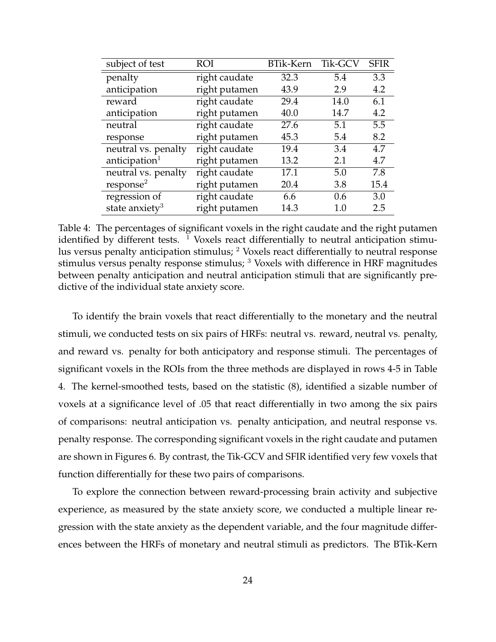| subject of test            | ROI           | <b>BTik-Kern</b> | Tik-GCV | <b>SFIR</b> |
|----------------------------|---------------|------------------|---------|-------------|
| penalty                    | right caudate | 32.3             | 5.4     | 3.3         |
| anticipation               | right putamen | 43.9             | 2.9     | 4.2         |
| reward                     | right caudate | 29.4             | 14.0    | 6.1         |
| anticipation               | right putamen | 40.0             | 14.7    | 4.2         |
| neutral                    | right caudate | 27.6             | 5.1     | 5.5         |
| response                   | right putamen | 45.3             | 5.4     | 8.2         |
| neutral vs. penalty        | right caudate | 19.4             | 3.4     | 4.7         |
| anticipation <sup>1</sup>  | right putamen | 13.2             | 2.1     | 4.7         |
| neutral vs. penalty        | right caudate | 17.1             | 5.0     | 7.8         |
| response <sup>2</sup>      | right putamen | 20.4             | 3.8     | 15.4        |
| regression of              | right caudate | 6.6              | 0.6     | 3.0         |
| state anxiety <sup>3</sup> | right putamen | 14.3             | 1.0     | 2.5         |

Table 4: The percentages of significant voxels in the right caudate and the right putamen identified by different tests.  $\frac{1}{1}$  Voxels react differentially to neutral anticipation stimulus versus penalty anticipation stimulus; <sup>2</sup> Voxels react differentially to neutral response stimulus versus penalty response stimulus;  $3$  Voxels with difference in HRF magnitudes between penalty anticipation and neutral anticipation stimuli that are significantly predictive of the individual state anxiety score.

To identify the brain voxels that react differentially to the monetary and the neutral stimuli, we conducted tests on six pairs of HRFs: neutral vs. reward, neutral vs. penalty, and reward vs. penalty for both anticipatory and response stimuli. The percentages of significant voxels in the ROIs from the three methods are displayed in rows 4-5 in Table 4. The kernel-smoothed tests, based on the statistic (8), identified a sizable number of voxels at a significance level of .05 that react differentially in two among the six pairs of comparisons: neutral anticipation vs. penalty anticipation, and neutral response vs. penalty response. The corresponding significant voxels in the right caudate and putamen are shown in Figures 6. By contrast, the Tik-GCV and SFIR identified very few voxels that function differentially for these two pairs of comparisons.

To explore the connection between reward-processing brain activity and subjective experience, as measured by the state anxiety score, we conducted a multiple linear regression with the state anxiety as the dependent variable, and the four magnitude differences between the HRFs of monetary and neutral stimuli as predictors. The BTik-Kern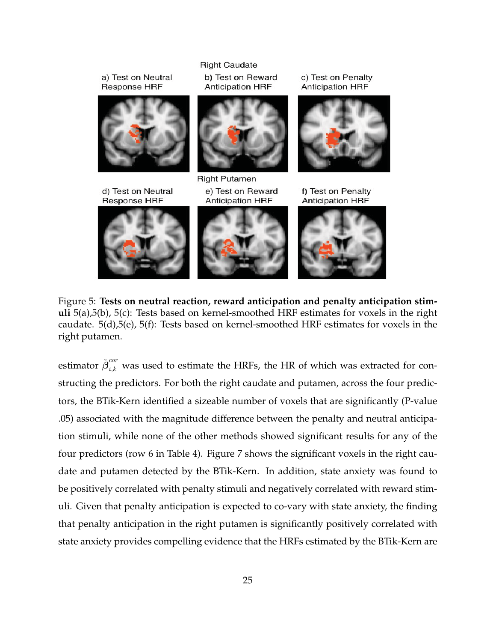

Figure 5: **Tests on neutral reaction, reward anticipation and penalty anticipation stimuli** 5(a),5(b), 5(c): Tests based on kernel-smoothed HRF estimates for voxels in the right caudate. 5(d),5(e), 5(f): Tests based on kernel-smoothed HRF estimates for voxels in the right putamen.

estimator  $\tilde{\bm{\beta}}^{cor}_{i,k}$  was used to estimate the HRFs, the HR of which was extracted for constructing the predictors. For both the right caudate and putamen, across the four predictors, the BTik-Kern identified a sizeable number of voxels that are significantly (P-value .05) associated with the magnitude difference between the penalty and neutral anticipation stimuli, while none of the other methods showed significant results for any of the four predictors (row 6 in Table 4). Figure 7 shows the significant voxels in the right caudate and putamen detected by the BTik-Kern. In addition, state anxiety was found to be positively correlated with penalty stimuli and negatively correlated with reward stimuli. Given that penalty anticipation is expected to co-vary with state anxiety, the finding that penalty anticipation in the right putamen is significantly positively correlated with state anxiety provides compelling evidence that the HRFs estimated by the BTik-Kern are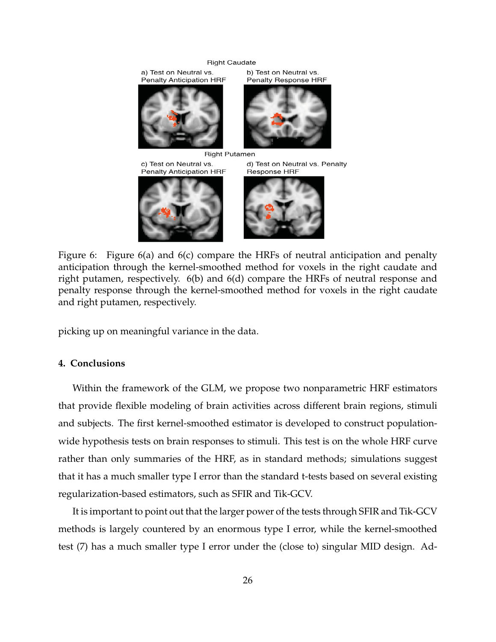#### **Right Caudate**



Figure 6: Figure 6(a) and 6(c) compare the HRFs of neutral anticipation and penalty anticipation through the kernel-smoothed method for voxels in the right caudate and right putamen, respectively. 6(b) and 6(d) compare the HRFs of neutral response and penalty response through the kernel-smoothed method for voxels in the right caudate and right putamen, respectively.

picking up on meaningful variance in the data.

#### **4. Conclusions**

Within the framework of the GLM, we propose two nonparametric HRF estimators that provide flexible modeling of brain activities across different brain regions, stimuli and subjects. The first kernel-smoothed estimator is developed to construct populationwide hypothesis tests on brain responses to stimuli. This test is on the whole HRF curve rather than only summaries of the HRF, as in standard methods; simulations suggest that it has a much smaller type I error than the standard t-tests based on several existing regularization-based estimators, such as SFIR and Tik-GCV.

It is important to point out that the larger power of the tests through SFIR and Tik-GCV methods is largely countered by an enormous type I error, while the kernel-smoothed test (7) has a much smaller type I error under the (close to) singular MID design. Ad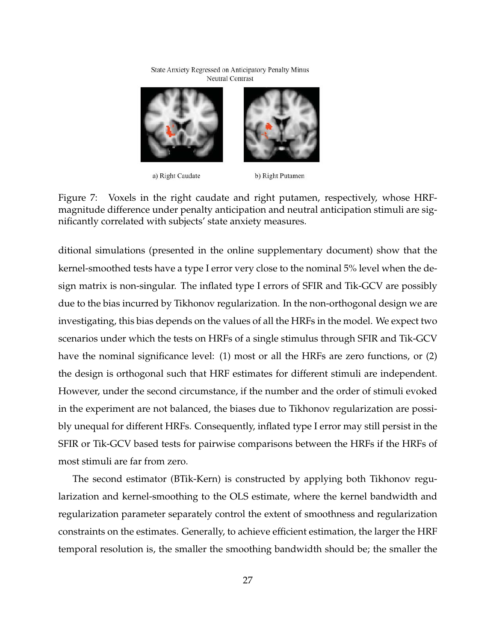State Anxiety Regressed on Anticipatory Penalty Minus Neutral Contrast



a) Right Caudate

b) Right Putamen

Figure 7: Voxels in the right caudate and right putamen, respectively, whose HRFmagnitude difference under penalty anticipation and neutral anticipation stimuli are significantly correlated with subjects' state anxiety measures.

ditional simulations (presented in the online supplementary document) show that the kernel-smoothed tests have a type I error very close to the nominal 5% level when the design matrix is non-singular. The inflated type I errors of SFIR and Tik-GCV are possibly due to the bias incurred by Tikhonov regularization. In the non-orthogonal design we are investigating, this bias depends on the values of all the HRFs in the model. We expect two scenarios under which the tests on HRFs of a single stimulus through SFIR and Tik-GCV have the nominal significance level: (1) most or all the HRFs are zero functions, or (2) the design is orthogonal such that HRF estimates for different stimuli are independent. However, under the second circumstance, if the number and the order of stimuli evoked in the experiment are not balanced, the biases due to Tikhonov regularization are possibly unequal for different HRFs. Consequently, inflated type I error may still persist in the SFIR or Tik-GCV based tests for pairwise comparisons between the HRFs if the HRFs of most stimuli are far from zero.

The second estimator (BTik-Kern) is constructed by applying both Tikhonov regularization and kernel-smoothing to the OLS estimate, where the kernel bandwidth and regularization parameter separately control the extent of smoothness and regularization constraints on the estimates. Generally, to achieve efficient estimation, the larger the HRF temporal resolution is, the smaller the smoothing bandwidth should be; the smaller the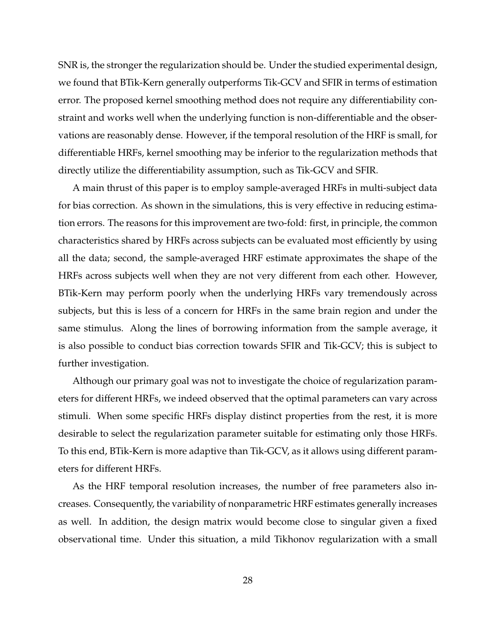SNR is, the stronger the regularization should be. Under the studied experimental design, we found that BTik-Kern generally outperforms Tik-GCV and SFIR in terms of estimation error. The proposed kernel smoothing method does not require any differentiability constraint and works well when the underlying function is non-differentiable and the observations are reasonably dense. However, if the temporal resolution of the HRF is small, for differentiable HRFs, kernel smoothing may be inferior to the regularization methods that directly utilize the differentiability assumption, such as Tik-GCV and SFIR.

A main thrust of this paper is to employ sample-averaged HRFs in multi-subject data for bias correction. As shown in the simulations, this is very effective in reducing estimation errors. The reasons for this improvement are two-fold: first, in principle, the common characteristics shared by HRFs across subjects can be evaluated most efficiently by using all the data; second, the sample-averaged HRF estimate approximates the shape of the HRFs across subjects well when they are not very different from each other. However, BTik-Kern may perform poorly when the underlying HRFs vary tremendously across subjects, but this is less of a concern for HRFs in the same brain region and under the same stimulus. Along the lines of borrowing information from the sample average, it is also possible to conduct bias correction towards SFIR and Tik-GCV; this is subject to further investigation.

Although our primary goal was not to investigate the choice of regularization parameters for different HRFs, we indeed observed that the optimal parameters can vary across stimuli. When some specific HRFs display distinct properties from the rest, it is more desirable to select the regularization parameter suitable for estimating only those HRFs. To this end, BTik-Kern is more adaptive than Tik-GCV, as it allows using different parameters for different HRFs.

As the HRF temporal resolution increases, the number of free parameters also increases. Consequently, the variability of nonparametric HRF estimates generally increases as well. In addition, the design matrix would become close to singular given a fixed observational time. Under this situation, a mild Tikhonov regularization with a small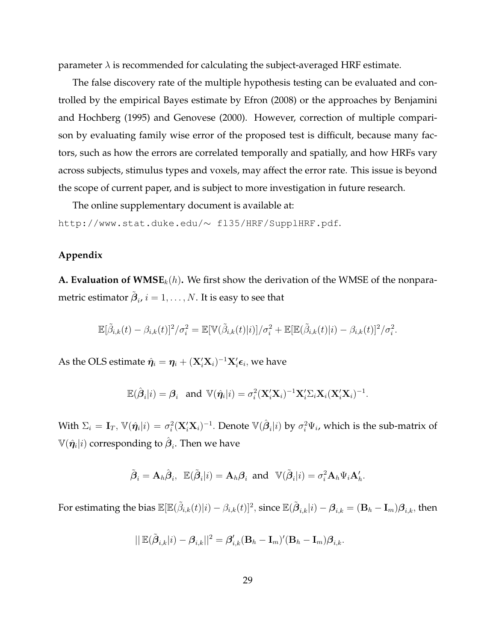parameter  $\lambda$  is recommended for calculating the subject-averaged HRF estimate.

The false discovery rate of the multiple hypothesis testing can be evaluated and controlled by the empirical Bayes estimate by Efron (2008) or the approaches by Benjamini and Hochberg (1995) and Genovese (2000). However, correction of multiple comparison by evaluating family wise error of the proposed test is difficult, because many factors, such as how the errors are correlated temporally and spatially, and how HRFs vary across subjects, stimulus types and voxels, may affect the error rate. This issue is beyond the scope of current paper, and is subject to more investigation in future research.

The online supplementary document is available at:

http://www.stat.duke.edu/∼ fl35/HRF/SupplHRF.pdf.

## **Appendix**

**A. Evaluation of**  $\mathbf{WMSE}_{k}(h)$ **.** We first show the derivation of the WMSE of the nonparametric estimator  $\tilde{\boldsymbol{\beta}}_i$ ,  $i=1,\ldots,N.$  It is easy to see that

$$
\mathbb{E}[\tilde{\beta}_{i,k}(t)-\beta_{i,k}(t)]^2/\sigma_i^2=\mathbb{E}[\mathbb{V}(\tilde{\beta}_{i,k}(t)|i)]/\sigma_i^2+\mathbb{E}[\mathbb{E}(\tilde{\beta}_{i,k}(t)|i)-\beta_{i,k}(t)]^2/\sigma_i^2.
$$

As the OLS estimate  $\hat{\pmb{\eta}}_i = \pmb{\eta}_i + (\mathbf{X}_i'\mathbf{X}_i)^{-1}\mathbf{X}_i'\pmb{\epsilon}_i,$  we have

$$
\mathbb{E}(\hat{\boldsymbol{\beta}}_i|i)=\boldsymbol{\beta}_i \ \ \text{ and } \ \mathbb{V}(\hat{\boldsymbol{\eta}_i}|i)=\sigma_i^2(\mathbf{X}_i'\mathbf{X}_i)^{-1}\mathbf{X}_i'\boldsymbol{\Sigma}_i\mathbf{X}_i(\mathbf{X}_i'\mathbf{X}_i)^{-1}.
$$

With  $\Sigma_i=\mathbf{I}_T,$   $\mathbb{V}(\hat{\bm{\eta}}_i|i)=\sigma_i^2(\mathbf{X}_i'\mathbf{X}_i)^{-1}.$  Denote  $\mathbb{V}(\hat{\bm{\beta}}_i|i)$  by  $\sigma_i^2\Psi_i$ , which is the sub-matrix of  $\mathbb{V}(\hat{\pmb{\eta}}_{i}|i)$  corresponding to  $\hat{\pmb{\beta}}_{i}.$  Then we have

$$
\tilde{\boldsymbol{\beta}}_i = \mathbf{A}_h \hat{\boldsymbol{\beta}}_i, \ \ \mathbb{E}(\tilde{\boldsymbol{\beta}}_i | i) = \mathbf{A}_h \boldsymbol{\beta}_i \ \ \text{and} \quad \mathbb{V}(\tilde{\boldsymbol{\beta}}_i | i) = \sigma_i^2 \mathbf{A}_h \boldsymbol{\Psi}_i \mathbf{A}_h'.
$$

For estimating the bias  $\mathbb E[\mathbb E(\tilde \beta_{i,k}(t)|i)-\beta_{i,k}(t)]^2,$  since  $\mathbb E(\tilde \boldsymbol \beta_{i,k}|i)-\boldsymbol \beta_{i,k}=(\mathbf B_h-\mathbf I_m)\boldsymbol \beta_{i,k},$  then

$$
||\mathop{\mathbb{E}}(\tilde{\boldsymbol{\beta}}_{i,k}|i)-\boldsymbol{\beta}_{i,k}||^2=\boldsymbol{\beta}_{i,k}'(\mathbf{B}_h-\mathbf{I}_m)'(\mathbf{B}_h-\mathbf{I}_m)\boldsymbol{\beta}_{i,k}.
$$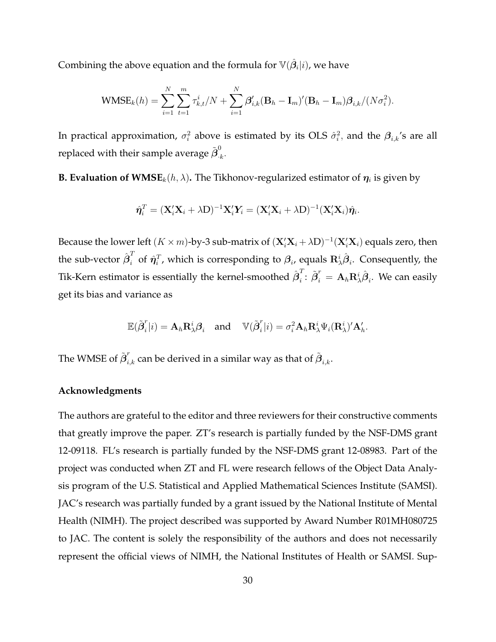Combining the above equation and the formula for  $\mathbb{V}(\hat{\bm{\beta}}_i|i)$ , we have

$$
\text{WMSE}_k(h) = \sum_{i=1}^N \sum_{t=1}^m \tau_{k,t}^i / N + \sum_{i=1}^N \beta_{i,k}' (\mathbf{B}_h - \mathbf{I}_m)' (\mathbf{B}_h - \mathbf{I}_m) \beta_{i,k} / (N \sigma_i^2).
$$

In practical approximation,  $\sigma_i^2$  above is estimated by its OLS  $\hat{\sigma}_i^2$ , and the  $\bm{\beta}_{i,k}$ 's are all replaced with their sample average  $\tilde{\bm{\beta}}^0_{\cdot, i}$  $\frac{6}{k}$ .

**B. Evaluation of**  $\mathbf{WMSE}_k(h, \lambda)$ **.** The Tikhonov-regularized estimator of  $\boldsymbol{\eta}_i$  is given by

$$
\hat{\boldsymbol{\eta}}_i^T = (\mathbf{X}_i'\mathbf{X}_i + \lambda \mathbf{D})^{-1}\mathbf{X}_i'\mathbf{Y}_i = (\mathbf{X}_i'\mathbf{X}_i + \lambda \mathbf{D})^{-1}(\mathbf{X}_i'\mathbf{X}_i)\hat{\boldsymbol{\eta}}_i.
$$

Because the lower left  $(K \times m)$ -by-3 sub-matrix of  $(\mathbf{X}_i' \mathbf{X}_i + \lambda \mathbf{D})^{-1} (\mathbf{X}_i' \mathbf{X}_i)$  equals zero, then the sub-vector  $\hat{\bm{\beta}}_i^T$  of  $\hat{\bm{\eta}}_i^T$ , which is corresponding to  $\bm{\beta}_i$ , equals  $\mathbf{R}^i_\lambda\hat{\bm{\beta}}_i$ . Consequently, the Tik-Kern estimator is essentially the kernel-smoothed  $\hat{\boldsymbol{\beta}}_{i}^{T}$  $\vec{p}_i^r = \mathbf{A}_h \mathbf{R}_\lambda^i \hat{\boldsymbol{\beta}}_i$ . We can easily get its bias and variance as

$$
\mathbb{E}(\tilde{\boldsymbol{\beta}}_i^r|i) = \mathbf{A}_h \mathbf{R}_\lambda^i \boldsymbol{\beta}_i \quad \text{and} \quad \mathbb{V}(\tilde{\boldsymbol{\beta}}_i^r|i) = \sigma_i^2 \mathbf{A}_h \mathbf{R}_\lambda^i \Psi_i(\mathbf{R}_\lambda^i)' \mathbf{A}_h'.
$$

The WMSE of  $\tilde{\bm{\beta}}_{i,k}^r$  can be derived in a similar way as that of  $\tilde{\bm{\beta}}_{i,k}.$ 

## **Acknowledgments**

The authors are grateful to the editor and three reviewers for their constructive comments that greatly improve the paper. ZT's research is partially funded by the NSF-DMS grant 12-09118. FL's research is partially funded by the NSF-DMS grant 12-08983. Part of the project was conducted when ZT and FL were research fellows of the Object Data Analysis program of the U.S. Statistical and Applied Mathematical Sciences Institute (SAMSI). JAC's research was partially funded by a grant issued by the National Institute of Mental Health (NIMH). The project described was supported by Award Number R01MH080725 to JAC. The content is solely the responsibility of the authors and does not necessarily represent the official views of NIMH, the National Institutes of Health or SAMSI. Sup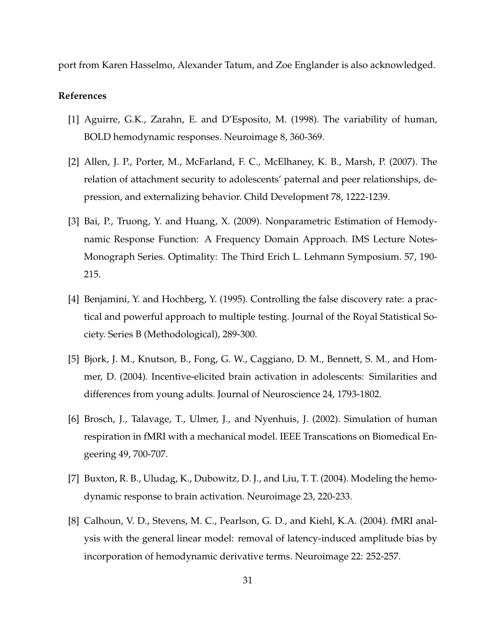port from Karen Hasselmo, Alexander Tatum, and Zoe Englander is also acknowledged.

## **References**

- [1] Aguirre, G.K., Zarahn, E. and D'Esposito, M. (1998). The variability of human, BOLD hemodynamic responses. Neuroimage 8, 360-369.
- [2] Allen, J. P., Porter, M., McFarland, F. C., McElhaney, K. B., Marsh, P. (2007). The relation of attachment security to adolescents' paternal and peer relationships, depression, and externalizing behavior. Child Development 78, 1222-1239.
- [3] Bai, P., Truong, Y. and Huang, X. (2009). Nonparametric Estimation of Hemodynamic Response Function: A Frequency Domain Approach. IMS Lecture Notes-Monograph Series. Optimality: The Third Erich L. Lehmann Symposium. 57, 190- 215.
- [4] Benjamini, Y. and Hochberg, Y. (1995). Controlling the false discovery rate: a practical and powerful approach to multiple testing. Journal of the Royal Statistical Society. Series B (Methodological), 289-300.
- [5] Bjork, J. M., Knutson, B., Fong, G. W., Caggiano, D. M., Bennett, S. M., and Hommer, D. (2004). Incentive-elicited brain activation in adolescents: Similarities and differences from young adults. Journal of Neuroscience 24, 1793-1802.
- [6] Brosch, J., Talavage, T., Ulmer, J., and Nyenhuis, J. (2002). Simulation of human respiration in fMRI with a mechanical model. IEEE Transcations on Biomedical Engeering 49, 700-707.
- [7] Buxton, R. B., Uludag, K., Dubowitz, D. J., and Liu, T. T. (2004). Modeling the hemodynamic response to brain activation. Neuroimage 23, 220-233.
- [8] Calhoun, V. D., Stevens, M. C., Pearlson, G. D., and Kiehl, K.A. (2004). fMRI analysis with the general linear model: removal of latency-induced amplitude bias by incorporation of hemodynamic derivative terms. Neuroimage 22: 252-257.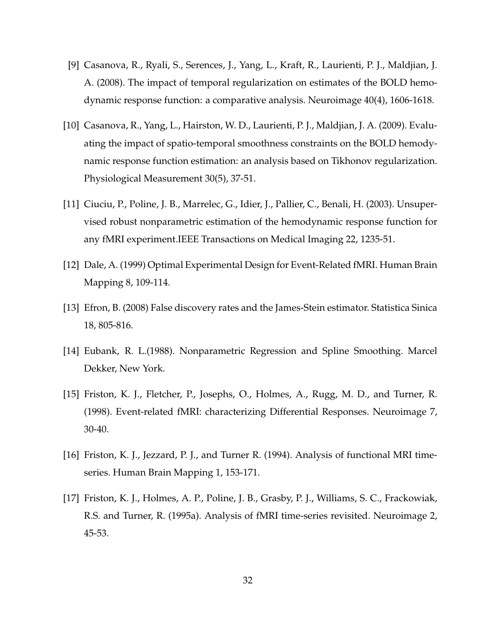- [9] Casanova, R., Ryali, S., Serences, J., Yang, L., Kraft, R., Laurienti, P. J., Maldjian, J. A. (2008). The impact of temporal regularization on estimates of the BOLD hemodynamic response function: a comparative analysis. Neuroimage 40(4), 1606-1618.
- [10] Casanova, R., Yang, L., Hairston, W. D., Laurienti, P. J., Maldjian, J. A. (2009). Evaluating the impact of spatio-temporal smoothness constraints on the BOLD hemodynamic response function estimation: an analysis based on Tikhonov regularization. Physiological Measurement 30(5), 37-51.
- [11] Ciuciu, P., Poline, J. B., Marrelec, G., Idier, J., Pallier, C., Benali, H. (2003). Unsupervised robust nonparametric estimation of the hemodynamic response function for any fMRI experiment.IEEE Transactions on Medical Imaging 22, 1235-51.
- [12] Dale, A. (1999) Optimal Experimental Design for Event-Related fMRI. Human Brain Mapping 8, 109-114.
- [13] Efron, B. (2008) False discovery rates and the James-Stein estimator. Statistica Sinica 18, 805-816.
- [14] Eubank, R. L.(1988). Nonparametric Regression and Spline Smoothing. Marcel Dekker, New York.
- [15] Friston, K. J., Fletcher, P., Josephs, O., Holmes, A., Rugg, M. D., and Turner, R. (1998). Event-related fMRI: characterizing Differential Responses. Neuroimage 7, 30-40.
- [16] Friston, K. J., Jezzard, P. J., and Turner R. (1994). Analysis of functional MRI timeseries. Human Brain Mapping 1, 153-171.
- [17] Friston, K. J., Holmes, A. P., Poline, J. B., Grasby, P. J., Williams, S. C., Frackowiak, R.S. and Turner, R. (1995a). Analysis of fMRI time-series revisited. Neuroimage 2, 45-53.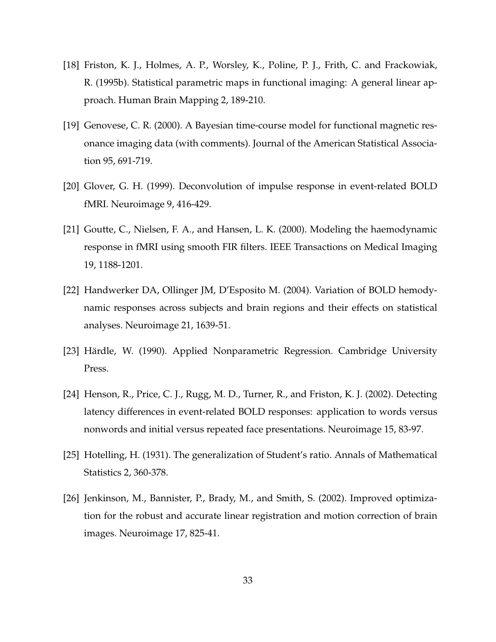- [18] Friston, K. J., Holmes, A. P., Worsley, K., Poline, P. J., Frith, C. and Frackowiak, R. (1995b). Statistical parametric maps in functional imaging: A general linear approach. Human Brain Mapping 2, 189-210.
- [19] Genovese, C. R. (2000). A Bayesian time-course model for functional magnetic resonance imaging data (with comments). Journal of the American Statistical Association 95, 691-719.
- [20] Glover, G. H. (1999). Deconvolution of impulse response in event-related BOLD fMRI. Neuroimage 9, 416-429.
- [21] Goutte, C., Nielsen, F. A., and Hansen, L. K. (2000). Modeling the haemodynamic response in fMRI using smooth FIR filters. IEEE Transactions on Medical Imaging 19, 1188-1201.
- [22] Handwerker DA, Ollinger JM, D'Esposito M. (2004). Variation of BOLD hemodynamic responses across subjects and brain regions and their effects on statistical analyses. Neuroimage 21, 1639-51.
- [23] Härdle, W. (1990). Applied Nonparametric Regression. Cambridge University Press.
- [24] Henson, R., Price, C. J., Rugg, M. D., Turner, R., and Friston, K. J. (2002). Detecting latency differences in event-related BOLD responses: application to words versus nonwords and initial versus repeated face presentations. Neuroimage 15, 83-97.
- [25] Hotelling, H. (1931). The generalization of Student's ratio. Annals of Mathematical Statistics 2, 360-378.
- [26] Jenkinson, M., Bannister, P., Brady, M., and Smith, S. (2002). Improved optimization for the robust and accurate linear registration and motion correction of brain images. Neuroimage 17, 825-41.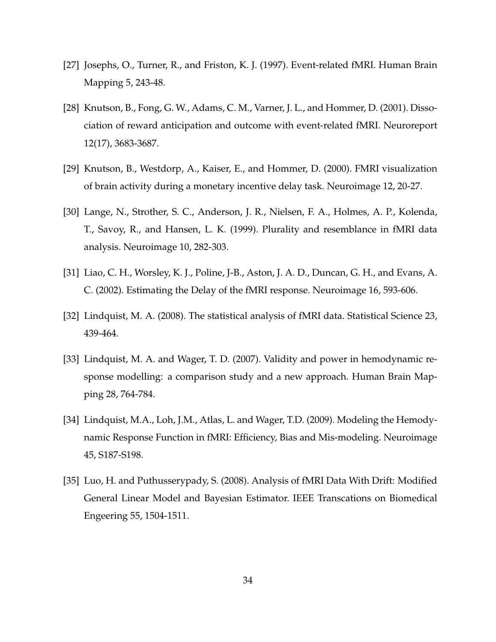- [27] Josephs, O., Turner, R., and Friston, K. J. (1997). Event-related fMRI. Human Brain Mapping 5, 243-48.
- [28] Knutson, B., Fong, G. W., Adams, C. M., Varner, J. L., and Hommer, D. (2001). Dissociation of reward anticipation and outcome with event-related fMRI. Neuroreport 12(17), 3683-3687.
- [29] Knutson, B., Westdorp, A., Kaiser, E., and Hommer, D. (2000). FMRI visualization of brain activity during a monetary incentive delay task. Neuroimage 12, 20-27.
- [30] Lange, N., Strother, S. C., Anderson, J. R., Nielsen, F. A., Holmes, A. P., Kolenda, T., Savoy, R., and Hansen, L. K. (1999). Plurality and resemblance in fMRI data analysis. Neuroimage 10, 282-303.
- [31] Liao, C. H., Worsley, K. J., Poline, J-B., Aston, J. A. D., Duncan, G. H., and Evans, A. C. (2002). Estimating the Delay of the fMRI response. Neuroimage 16, 593-606.
- [32] Lindquist, M. A. (2008). The statistical analysis of fMRI data. Statistical Science 23, 439-464.
- [33] Lindquist, M. A. and Wager, T. D. (2007). Validity and power in hemodynamic response modelling: a comparison study and a new approach. Human Brain Mapping 28, 764-784.
- [34] Lindquist, M.A., Loh, J.M., Atlas, L. and Wager, T.D. (2009). Modeling the Hemodynamic Response Function in fMRI: Efficiency, Bias and Mis-modeling. Neuroimage 45, S187-S198.
- [35] Luo, H. and Puthusserypady, S. (2008). Analysis of fMRI Data With Drift: Modified General Linear Model and Bayesian Estimator. IEEE Transcations on Biomedical Engeering 55, 1504-1511.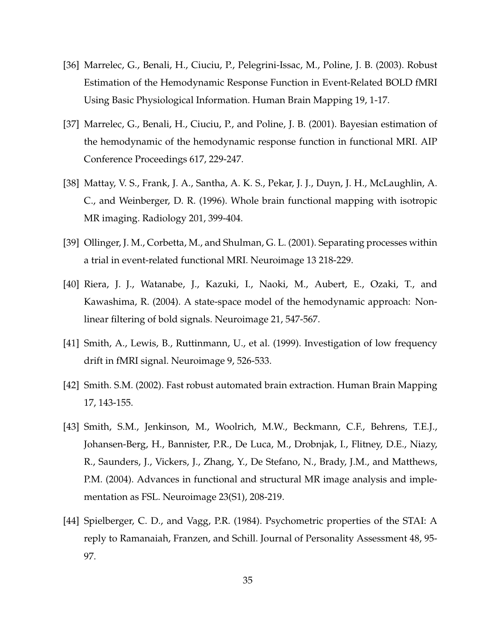- [36] Marrelec, G., Benali, H., Ciuciu, P., Pelegrini-Issac, M., Poline, J. B. (2003). Robust Estimation of the Hemodynamic Response Function in Event-Related BOLD fMRI Using Basic Physiological Information. Human Brain Mapping 19, 1-17.
- [37] Marrelec, G., Benali, H., Ciuciu, P., and Poline, J. B. (2001). Bayesian estimation of the hemodynamic of the hemodynamic response function in functional MRI. AIP Conference Proceedings 617, 229-247.
- [38] Mattay, V. S., Frank, J. A., Santha, A. K. S., Pekar, J. J., Duyn, J. H., McLaughlin, A. C., and Weinberger, D. R. (1996). Whole brain functional mapping with isotropic MR imaging. Radiology 201, 399-404.
- [39] Ollinger, J. M., Corbetta, M., and Shulman, G. L. (2001). Separating processes within a trial in event-related functional MRI. Neuroimage 13 218-229.
- [40] Riera, J. J., Watanabe, J., Kazuki, I., Naoki, M., Aubert, E., Ozaki, T., and Kawashima, R. (2004). A state-space model of the hemodynamic approach: Nonlinear filtering of bold signals. Neuroimage 21, 547-567.
- [41] Smith, A., Lewis, B., Ruttinmann, U., et al. (1999). Investigation of low frequency drift in fMRI signal. Neuroimage 9, 526-533.
- [42] Smith. S.M. (2002). Fast robust automated brain extraction. Human Brain Mapping 17, 143-155.
- [43] Smith, S.M., Jenkinson, M., Woolrich, M.W., Beckmann, C.F., Behrens, T.E.J., Johansen-Berg, H., Bannister, P.R., De Luca, M., Drobnjak, I., Flitney, D.E., Niazy, R., Saunders, J., Vickers, J., Zhang, Y., De Stefano, N., Brady, J.M., and Matthews, P.M. (2004). Advances in functional and structural MR image analysis and implementation as FSL. Neuroimage 23(S1), 208-219.
- [44] Spielberger, C. D., and Vagg, P.R. (1984). Psychometric properties of the STAI: A reply to Ramanaiah, Franzen, and Schill. Journal of Personality Assessment 48, 95- 97.